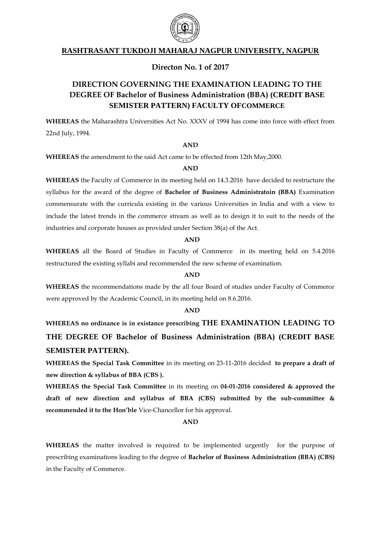

# **RASHTRASANT TUKDOJI MAHARAJ NAGPUR UNIVERSITY, NAGPUR**

## **Directon No. 1 of 2017**

# **DIRECTION GOVERNING THE EXAMINATION LEADING TO THE DEGREE OF Bachelor of Business Administration (BBA) (CREDIT BASE SEMISTER PATTERN) FACULTY OFCOMMERCE**

**WHEREAS** the Maharashtra Universities Act No. XXXV of 1994 has come into force with effect from 22nd July, 1994.

#### **AND**

**WHEREAS** the amendment to the said Act came to be effected from 12th May,2000.

#### **AND**

**WHEREAS** the Faculty of Commerce in its meeting held on 14.3.2016 have decided to restructure the syllabus for the award of the degree of **Bachelor of Business Administratoin (BBA)** Examination commensurate with the curricula existing in the various Universities in India and with a view to include the latest trends in the commerce stream as well as to design it to suit to the needs of the industries and corporate houses as provided under Section 38(a) of the Act.

#### **AND**

**WHEREAS** all the Board of Studies in Faculty of Commerce in its meeting held on 5.4.2016 restructured the existing syllabi and recommended the new scheme of examination.

#### **AND**

**WHEREAS** the recommendations made by the all four Board of studies under Faculty of Commerce were approved by the Academic Council, in its meeting held on 8.6.2016.

#### **AND**

**WHEREAS no ordinance is in existance prescribing THE EXAMINATION LEADING TO THE DEGREE OF Bachelor of Business Administration (BBA) (CREDIT BASE SEMISTER PATTERN).**

**WHEREAS the Special Task Committee** in its meeting on 23-11-2016 decided **to prepare a draft of new direction & syllabus of BBA (CBS ).** 

**WHEREAS the Special Task Committee** in its meeting on **04-01-2016 considered & approved the draft of new direction and syllabus of BBA (CBS) submitted by the sub-committee & recommended it to the Hon'ble** Vice-Chancellor for his approval.

#### **AND**

**WHEREAS** the matter involved is required to be implemented urgently for the purpose of prescribing examinations leading to the degree of **Bachelor of Business Administration (BBA) (CBS)**  in the Faculty of Commerce.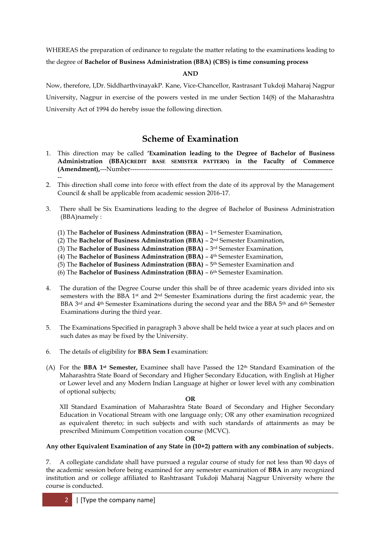WHEREAS the preparation of ordinance to regulate the matter relating to the examinations leading to

the degree of **Bachelor of Business Administration (BBA) (CBS) is time consuming process**

**AND**

Now, therefore, I,Dr. SiddharthvinayakP. Kane, Vice-Chancellor, Rastrasant Tukdoji Maharaj Nagpur University, Nagpur in exercise of the powers vested in me under Section 14(8) of the Maharashtra University Act of 1994 do hereby issue the following direction.

# **Scheme of Examination**

- 1. This direction may be called **'Examination leading to the Degree of Bachelor of Business Administration (BBA)CREDIT BASE SEMISTER PATTERN) in the Faculty of Commerce (Amendment),**---Number----------------------------------------------------------------------------------------------- --
- 2. This direction shall come into force with effect from the date of its approval by the Management Council & shall be applicable from academic session 2016-17.
- 3. There shall be Six Examinations leading to the degree of Bachelor of Business Administration (BBA)namely :
	- (1) The **Bachelor of Business Adminstration (BBA)** 1 st Semester Examination,
	- (2) The **Bachelor of Business Adminstration (BBA)** 2<sup>nd</sup> Semester Examination,
	- (3) The **Bachelor of Business Adminstration (BBA)** 3 rd Semester Examination,
	- (4) The **Bachelor of Business Adminstration (BBA)** 4 th Semester Examination,
	- (5) The **Bachelor of Business Adminstration (BBA)** 5 th Semester Examination and
	- (6) The **Bachelor of Business Adminstration (BBA)** 6 th Semester Examination.
- 4. The duration of the Degree Course under this shall be of three academic years divided into six semesters with the BBA 1<sup>st</sup> and 2<sup>nd</sup> Semester Examinations during the first academic year, the BBA 3rd and 4th Semester Examinations during the second year and the BBA 5th and 6th Semester Examinations during the third year.
- 5. The Examinations Specified in paragraph 3 above shall be held twice a year at such places and on such dates as may be fixed by the University.
- 6. The details of eligibility for **BBA Sem I** examination:
- (A) For the **BBA 1st Semester,** Examinee shall have Passed the 12th Standard Examination of the Maharashtra State Board of Secondary and Higher Secondary Education, with English at Higher or Lower level and any Modern Indian Language at higher or lower level with any combination of optional subjects;

#### **OR**

XII Standard Examination of Maharashtra State Board of Secondary and Higher Secondary Education in Vocational Stream with one language only; OR any other examination recognized as equivalent thereto; in such subjects and with such standards of attainments as may be prescribed Minimum Competition vocation course (MCVC).

#### **OR**

## **Any other Equivalent Examination of any State in (10+2) pattern with any combination of subjects.**

7. A collegiate candidate shall have pursued a regular course of study for not less than 90 days of the academic session before being examined for any semester examination of **BBA** in any recognized institution and or college affiliated to Rashtrasant Tukdoji Maharaj Nagpur University where the course is conducted.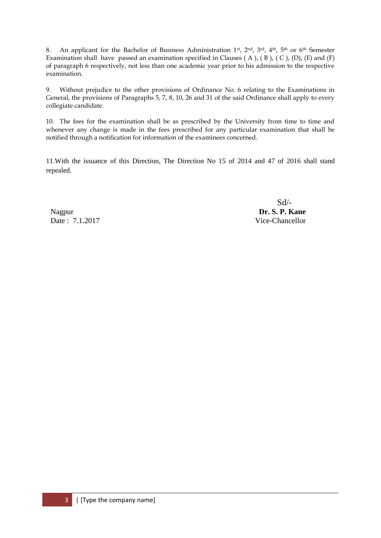8. An applicant for the Bachelor of Business Administration 1<sup>st</sup>, 2<sup>nd</sup>, 3<sup>rd</sup>, 4<sup>th</sup>, 5<sup>th</sup> or 6<sup>th</sup> Semester Examination shall have passed an examination specified in Clauses ( A ), ( B ), ( C ), (D), (E) and (F) of paragraph 6 respectively, not less than one academic year prior to his admission to the respective examination.

9. Without prejudice to the other provisions of Ordinance No. 6 relating to the Examinations in General, the provisions of Paragraphs 5, 7, 8, 10, 26 and 31 of the said Ordinance shall apply to every collegiate candidate.

10. The fees for the examination shall be as prescribed by the University from time to time and whenever any change is made in the fees prescribed for any particular examination that shall be notified through a notification for information of the examinees concerned.

11.With the issuance of this Direction, The Direction No 15 of 2014 and 47 of 2016 shall stand repealed.

Nagpur **Dr. S. P. Kane** Date : 7.1.2017 Vice-Chancellor

Sd/-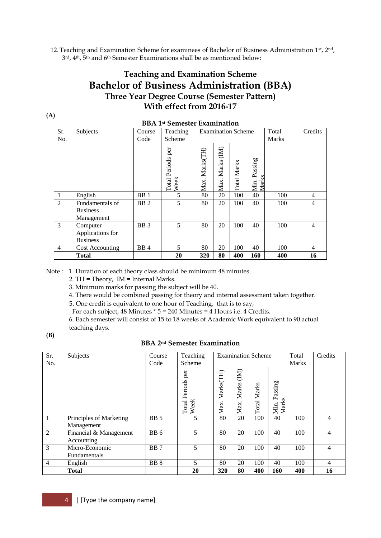12. Teaching and Examination Scheme for examinees of Bachelor of Business Administration 1st, 2nd, 3 rd, 4th, 5 th and 6th Semester Examinations shall be as mentioned below:

# **Teaching and Examination Scheme Bachelor of Business Administration (BBA) Three Year Degree Course (Semester Pattern) With effect from 2016-17**

|                | <b>BBA 1st Semester Examination</b> |                             |                 |           |                 |                           |               |              |                |
|----------------|-------------------------------------|-----------------------------|-----------------|-----------|-----------------|---------------------------|---------------|--------------|----------------|
| Sr.            | Subjects                            | Course                      | Teaching        |           |                 | <b>Examination Scheme</b> |               | Total        | Credits        |
| No.            |                                     | Code                        | Scheme          |           |                 |                           |               | <b>Marks</b> |                |
|                |                                     |                             |                 |           |                 |                           |               |              |                |
|                |                                     |                             |                 |           |                 |                           |               |              |                |
|                |                                     |                             | Periods per     | Marks(TH) |                 |                           | assing        |              |                |
|                |                                     |                             |                 |           |                 |                           | تم            |              |                |
|                |                                     |                             | Total 1<br>Week | Max.      | Max. Marks (IM) | Total Marks               | Marks<br>Min. |              |                |
| 1              | English                             | BB1                         | 5               | 80        | 20              | 100                       | 40            | 100          | 4              |
| $\overline{2}$ | Fundamentals of                     | B <sub>B</sub> <sub>2</sub> | 5               | 80        | 20              | 100                       | 40            | 100          | $\overline{4}$ |
|                | <b>Business</b>                     |                             |                 |           |                 |                           |               |              |                |
|                | Management                          |                             |                 |           |                 |                           |               |              |                |
| 3              | Computer                            | BB <sub>3</sub>             | 5               | 80        | 20              | 100                       | 40            | 100          | $\overline{4}$ |
|                | Applications for                    |                             |                 |           |                 |                           |               |              |                |
|                | <b>Business</b>                     |                             |                 |           |                 |                           |               |              |                |
| $\overline{4}$ | Cost Accounting                     | B <sub>B</sub> 4            | 5               | 80        | 20              | 100                       | 40            | 100          | $\overline{4}$ |
|                | Total                               |                             | 20              | 320       | 80              | 400                       | 160           | 400          | 16             |

Note : 1. Duration of each theory class should be minimum 48 minutes.

2. TH = Theory, IM = Internal Marks.

3. Minimum marks for passing the subject will be 40.

4. There would be combined passing for theory and internal assessment taken together.

5. One credit is equivalent to one hour of Teaching, that is to say,

For each subject,  $48$  Minutes  $*$  5 = 240 Minutes =  $4$  Hours i.e.  $4$  Credits.

6. Each semester will consist of 15 to 18 weeks of Academic Work equivalent to 90 actual teaching days.

#### **(B)**

**(A)**

## **BBA 2nd Semester Examination**

| Sr.<br>No.     | Subjects                              | Course<br>Code  | Teaching<br>Scheme              | <b>Examination Scheme</b> |                                                 |                       |                            | Total<br><b>Marks</b> | Credits |
|----------------|---------------------------------------|-----------------|---------------------------------|---------------------------|-------------------------------------------------|-----------------------|----------------------------|-----------------------|---------|
|                |                                       |                 | per<br>Periods<br>Week<br>Total | Marks(TH)<br>Max.         | $\begin{array}{c} \end{array}$<br>Marks<br>Max. | Marks<br><b>Total</b> | Passing<br>Min. P<br>Marks |                       |         |
| $\overline{1}$ | Principles of Marketing<br>Management | <b>BB</b> 5     | 5                               | 80                        | 20                                              | 100                   | 40                         | 100                   | 4       |
| 2              | Financial & Management<br>Accounting  | BB <sub>6</sub> | 5                               | 80                        | 20                                              | 100                   | 40                         | 100                   | 4       |
| 3              | Micro-Economic<br><b>Fundamentals</b> | BB <sub>7</sub> | 5                               | 80                        | 20                                              | 100                   | 40                         | 100                   | 4       |
| $\overline{4}$ | English                               | BB <sub>8</sub> | 5                               | 80                        | 20                                              | 100                   | 40                         | 100                   | 4       |
|                | <b>Total</b>                          |                 | 20                              | 320                       | 80                                              | 400                   | 160                        | 400                   | 16      |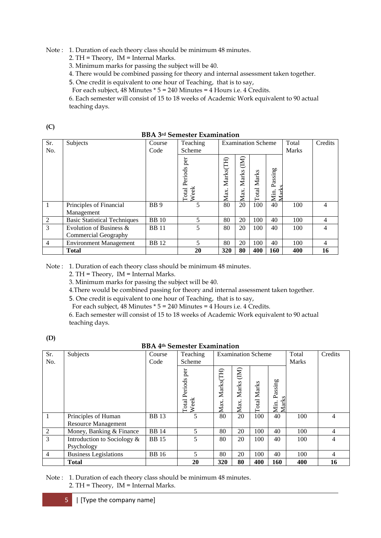Note : 1. Duration of each theory class should be minimum 48 minutes.

2. TH = Theory, IM = Internal Marks.

3. Minimum marks for passing the subject will be 40.

4. There would be combined passing for theory and internal assessment taken together.

5. One credit is equivalent to one hour of Teaching, that is to say,

For each subject, 48 Minutes \* 5 = 240 Minutes = 4 Hours i.e. 4 Credits.

6. Each semester will consist of 15 to 18 weeks of Academic Work equivalent to 90 actual teaching days.

**(C)**

|  |  |  |  | <b>BBA 3rd Semester Examination</b> |
|--|--|--|--|-------------------------------------|
|--|--|--|--|-------------------------------------|

| Sr.            | Subjects                              | Course                 | Teaching                     |                   |                                 | <b>Examination Scheme</b> |                                | Total        | Credits        |
|----------------|---------------------------------------|------------------------|------------------------------|-------------------|---------------------------------|---------------------------|--------------------------------|--------------|----------------|
| No.            |                                       | Code                   | Scheme                       |                   |                                 |                           |                                | <b>Marks</b> |                |
|                |                                       |                        | Periods per<br>Total<br>Week | Marks(TH)<br>Max. | $\overline{M}$<br>Marks<br>Max. | <b>Total Marks</b>        | assing<br>≏<br>$M$ ark<br>Min. |              |                |
| 1              | Principles of Financial<br>Management | <b>BB</b> <sub>9</sub> | 5                            | 80                | 20                              | 100                       | 40                             | 100          | 4              |
| 2              | <b>Basic Statistical Techniques</b>   | <b>BB</b> 10           | 5                            | 80                | 20                              | 100                       | 40                             | 100          | 4              |
| 3              | Evolution of Business &               | <b>BB</b> 11           | 5                            | 80                | 20                              | 100                       | 40                             | 100          | 4              |
|                | Commercial Geography                  |                        |                              |                   |                                 |                           |                                |              |                |
| $\overline{4}$ | <b>Environment Management</b>         | <b>BB</b> 12           | 5                            | 80                | 20                              | 100                       | 40                             | 100          | $\overline{4}$ |
|                | <b>Total</b>                          |                        | 20                           | 320               | 80                              | 400                       | 160                            | 400          | 16             |

Note : 1. Duration of each theory class should be minimum 48 minutes.

2. TH = Theory, IM = Internal Marks.

3. Minimum marks for passing the subject will be 40.

4.There would be combined passing for theory and internal assessment taken together.

5. One credit is equivalent to one hour of Teaching, that is to say,

For each subject, 48 Minutes \* 5 = 240 Minutes = 4 Hours i.e. 4 Credits.

6. Each semester will consist of 15 to 18 weeks of Academic Work equivalent to 90 actual teaching days.

**(D)**

# **BBA 4th Semester Examination**

| Sr.            | Subjects                       | Course       | Teaching                            | <b>Examination Scheme</b> |                               |                    |                          | Total        | Credits |
|----------------|--------------------------------|--------------|-------------------------------------|---------------------------|-------------------------------|--------------------|--------------------------|--------------|---------|
| No.            |                                | Code         | Scheme                              |                           |                               |                    |                          | <b>Marks</b> |         |
|                |                                |              | per<br><b>Total Periods</b><br>Week | Marks(TH)<br>Max.         | $\mathbf{E}$<br>Marks<br>Max. | <b>Total Marks</b> | Passing<br>Min.<br>Mark: |              |         |
|                | Principles of Human            | <b>BB</b> 13 |                                     | 80                        | 20                            | 100                | 40                       | 100          | 4       |
|                | <b>Resource Management</b>     |              |                                     |                           |                               |                    |                          |              |         |
| $\mathfrak{2}$ | Money, Banking & Finance       | <b>BB</b> 14 | 5                                   | 80                        | 20                            | 100                | 40                       | 100          | 4       |
| $\overline{3}$ | Introduction to Sociology $\&$ | <b>BB</b> 15 | 5                                   | 80                        | 20                            | 100                | 40                       | 100          | 4       |
|                | Psychology                     |              |                                     |                           |                               |                    |                          |              |         |
| $\overline{4}$ | <b>Business Legislations</b>   | <b>BB</b> 16 | 5                                   | 80                        | 20                            | 100                | 40                       | 100          | 4       |
|                | <b>Total</b>                   |              | 20                                  | 320                       | 80                            | 400                | 160                      | 400          | 16      |

Note : 1. Duration of each theory class should be minimum 48 minutes. 2. TH = Theory, IM = Internal Marks.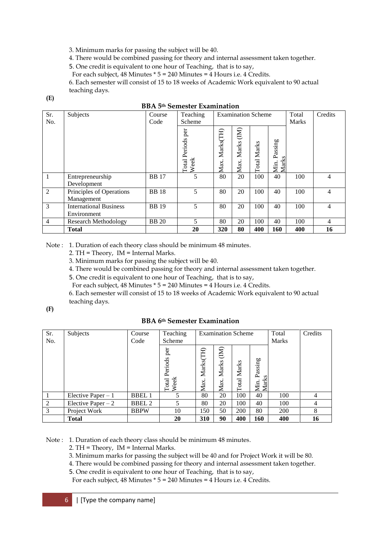3. Minimum marks for passing the subject will be 40.

4. There would be combined passing for theory and internal assessment taken together.

5. One credit is equivalent to one hour of Teaching, that is to say,

For each subject, 48 Minutes \* 5 = 240 Minutes = 4 Hours i.e. 4 Credits.

6. Each semester will consist of 15 to 18 weeks of Academic Work equivalent to 90 actual teaching days.

**(E)**

|                | DDA э <sup>.</sup> эепіемен еханіціаціон |              |               |                           |                           |       |                 |              |    |
|----------------|------------------------------------------|--------------|---------------|---------------------------|---------------------------|-------|-----------------|--------------|----|
| Sr.            | Subjects                                 | Course       | Teaching      | <b>Examination Scheme</b> |                           |       | Total           | Credits      |    |
| No.            |                                          | Code         | Scheme        |                           |                           |       |                 | <b>Marks</b> |    |
|                |                                          |              | per           |                           |                           |       |                 |              |    |
|                |                                          |              |               |                           | $\bigcircled{\mathbb{R}}$ |       |                 |              |    |
|                |                                          |              |               |                           |                           |       |                 |              |    |
|                |                                          |              | Periods       | Marks(TH)                 | Marks                     | Marks | Passing         |              |    |
|                |                                          |              |               |                           |                           |       |                 |              |    |
|                |                                          |              | Week<br>Total | Max.                      | Max.                      | Total | Min. P<br>Marks |              |    |
| 1              | Entrepreneurship                         | <b>BB</b> 17 | 5             | 80                        | 20                        | 100   | 40              | 100          | 4  |
|                | Development                              |              |               |                           |                           |       |                 |              |    |
| 2              | Principles of Operations                 | <b>BB</b> 18 | 5             | 80                        | 20                        | 100   | 40              | 100          | 4  |
|                | Management                               |              |               |                           |                           |       |                 |              |    |
| 3              | <b>International Business</b>            | <b>BB</b> 19 | 5             | 80                        | 20                        | 100   | 40              | 100          | 4  |
|                | Environment                              |              |               |                           |                           |       |                 |              |    |
| $\overline{4}$ | <b>Research Methodology</b>              | <b>BB</b> 20 | 5             | 80                        | 20                        | 100   | 40              | 100          | 4  |
|                | <b>Total</b>                             |              | 20            | 320                       | 80                        | 400   | 160             | 400          | 16 |

| <b>BBA 5th Semester Examination</b> |
|-------------------------------------|
|                                     |

Note : 1. Duration of each theory class should be minimum 48 minutes.

2. TH = Theory, IM = Internal Marks.

3. Minimum marks for passing the subject will be 40.

4. There would be combined passing for theory and internal assessment taken together.

5. One credit is equivalent to one hour of Teaching, that is to say,

For each subject,  $48$  Minutes  $*$  5 = 240 Minutes = 4 Hours i.e. 4 Credits.

6. Each semester will consist of 15 to 18 weeks of Academic Work equivalent to 90 actual teaching days.

## **(F)**

# **BBA 6th Semester Examination**

| Sr.<br>No.     | Subjects            | Course<br>Code | Teaching<br>Scheme | <b>Examination Scheme</b> |              |       | Total<br><b>Marks</b> | Credits |    |
|----------------|---------------------|----------------|--------------------|---------------------------|--------------|-------|-----------------------|---------|----|
|                |                     |                | per                |                           | $\mathbf{E}$ |       |                       |         |    |
|                |                     |                | Periods            | Marks(TH)                 | Marks        | Marks | Passing               |         |    |
|                |                     |                | ě<br>Total<br>Week | Max.                      | Max          | Total | Min. ]<br>Marks       |         |    |
|                | Elective Paper $-1$ | <b>BBEL1</b>   |                    | 80                        | 20           | 100   | 40                    | 100     | 4  |
| $\overline{2}$ | Elective Paper $-2$ | <b>BBEL 2</b>  | 5                  | 80                        | 20           | 100   | 40                    | 100     | 4  |
| 3              | Project Work        | <b>BBPW</b>    | 10                 | 150                       | 50           | 200   | 80                    | 200     | 8  |
|                | <b>Total</b>        |                | 20                 | 310                       | 90           | 400   | 160                   | 400     | 16 |

Note : 1. Duration of each theory class should be minimum 48 minutes.

2. TH = Theory, IM = Internal Marks.

3. Minimum marks for passing the subject will be 40 and for Project Work it will be 80.

4. There would be combined passing for theory and internal assessment taken together.

5. One credit is equivalent to one hour of Teaching, that is to say,

For each subject, 48 Minutes \* 5 = 240 Minutes = 4 Hours i.e. 4 Credits.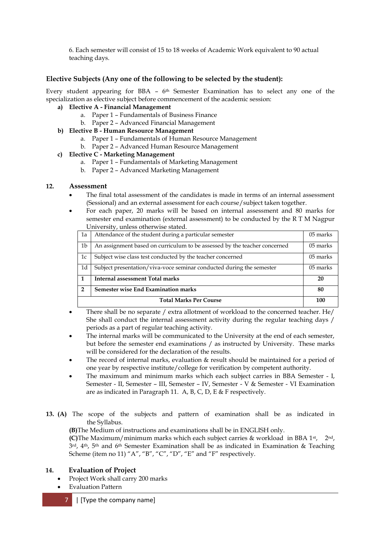6. Each semester will consist of 15 to 18 weeks of Academic Work equivalent to 90 actual teaching days.

## **Elective Subjects (Any one of the following to be selected by the student):**

Every student appearing for BBA – 6<sup>th</sup> Semester Examination has to select any one of the specialization as elective subject before commencement of the academic session:

#### **a) Elective A - Financial Management**

- a. Paper 1 Fundamentals of Business Finance
- b. Paper 2 Advanced Financial Management
- **b) Elective B - Human Resource Management**
	- a. Paper 1 Fundamentals of Human Resource Management
	- b. Paper 2 Advanced Human Resource Management

#### **c) Elective C - Marketing Management**

- a. Paper 1 Fundamentals of Marketing Management
- b. Paper 2 Advanced Marketing Management

#### **12. Assessment**

- The final total assessment of the candidates is made in terms of an internal assessment (Sessional) and an external assessment for each course/subject taken together.
- For each paper, 20 marks will be based on internal assessment and 80 marks for semester end examination (external assessment) to be conducted by the R T M Nagpur University, unless otherwise stated.

| 1a             | Attendance of the student during a particular semester                    | 05 marks |
|----------------|---------------------------------------------------------------------------|----------|
| 1 <sub>b</sub> | An assignment based on curriculum to be assessed by the teacher concerned | 05 marks |
| 1c             | Subject wise class test conducted by the teacher concerned                | 05 marks |
| 1d             | Subject presentation/viva-voce seminar conducted during the semester      | 05 marks |
| $\mathbf{1}$   | <b>Internal assessment Total marks</b>                                    | 20       |
| $\overline{2}$ | <b>Semester wise End Examination marks</b>                                | 80       |
|                | <b>Total Marks Per Course</b>                                             | 100      |

- There shall be no separate / extra allotment of workload to the concerned teacher. He/ She shall conduct the internal assessment activity during the regular teaching days / periods as a part of regular teaching activity.
- The internal marks will be communicated to the University at the end of each semester, but before the semester end examinations / as instructed by University. These marks will be considered for the declaration of the results.
- The record of internal marks, evaluation & result should be maintained for a period of one year by respective institute/college for verification by competent authority.
- The maximum and minimum marks which each subject carries in BBA Semester I, Semester - II, Semester – III, Semester – IV, Semester - V & Semester - VI Examination are as indicated in Paragraph 11. A, B, C, D, E & F respectively.
- **13. (A)** The scope of the subjects and pattern of examination shall be as indicated in the Syllabus.

**(B)**The Medium of instructions and examinations shall be in ENGLISH only.

**(C)**The Maximum/minimum marks which each subject carries & workload in BBA 1st, 2nd,  $3^{rd}$ ,  $4^{th}$ ,  $5^{th}$  and  $6^{th}$  Semester Examination shall be as indicated in Examination & Teaching Scheme (item no 11) "A", "B", "C", "D", "E" and "F" respectively.

## **14. Evaluation of Project**

- Project Work shall carry 200 marks
- Evaluation Pattern
	- 7 | [Type the company name]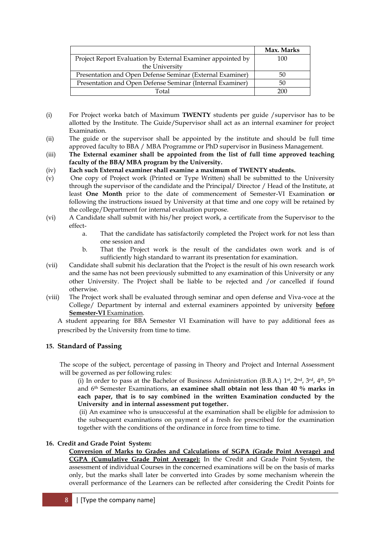|                                                             | Max. Marks |
|-------------------------------------------------------------|------------|
| Project Report Evaluation by External Examiner appointed by | 100        |
| the University                                              |            |
| Presentation and Open Defense Seminar (External Examiner)   | 50         |
| Presentation and Open Defense Seminar (Internal Examiner)   | 50         |
| Total                                                       | 200        |

- (i) For Project worka batch of Maximum **TWENTY** students per guide /supervisor has to be allotted by the Institute. The Guide/Supervisor shall act as an internal examiner for project Examination.
- (ii) The guide or the supervisor shall be appointed by the institute and should be full time approved faculty to BBA / MBA Programme or PhD supervisor in Business Management.
- (iii) **The External examiner shall be appointed from the list of full time approved teaching faculty of the BBA/ MBA program by the University.**
- (iv) **Each such External examiner shall examine a maximum of TWENTY students.**
- (v) One copy of Project work (Printed or Type Written) shall be submitted to the University through the supervisor of the candidate and the Principal/ Director / Head of the Institute, at least **One Month** prior to the date of commencement of Semester-VI Examination **or** following the instructions issued by University at that time and one copy will be retained by the college/Department for internal evaluation purpose.
- (vi) A Candidate shall submit with his/her project work, a certificate from the Supervisor to the effect
	- a. That the candidate has satisfactorily completed the Project work for not less than one session and
	- b. That the Project work is the result of the candidates own work and is of sufficiently high standard to warrant its presentation for examination.
- (vii) Candidate shall submit his declaration that the Project is the result of his own research work and the same has not been previously submitted to any examination of this University or any other University. The Project shall be liable to be rejected and /or cancelled if found otherwise.
- (viii) The Project work shall be evaluated through seminar and open defense and Viva-voce at the College/ Department by internal and external examiners appointed by university **before Semester-VI** Examination.

A student appearing for BBA Semester VI Examination will have to pay additional fees as prescribed by the University from time to time.

## **15. Standard of Passing**

The scope of the subject, percentage of passing in Theory and Project and Internal Assessment will be governed as per following rules:

(i) In order to pass at the Bachelor of Business Administration (B.B.A.)  $1^{st}$ ,  $2^{nd}$ ,  $3^{rd}$ ,  $4^{th}$ ,  $5^{th}$ and 6th Semester Examinations, **an examinee shall obtain not less than 40 % marks in each paper, that is to say combined in the written Examination conducted by the University and in internal assessment put together.**

(ii) An examinee who is unsuccessful at the examination shall be eligible for admission to the subsequent examinations on payment of a fresh fee prescribed for the examination together with the conditions of the ordinance in force from time to time.

#### **16. Credit and Grade Point System:**

**Conversion of Marks to Grades and Calculations of SGPA (Grade Point Average) and CGPA (Cumulative Grade Point Average):** In the Credit and Grade Point System, the assessment of individual Courses in the concerned examinations will be on the basis of marks only, but the marks shall later be converted into Grades by some mechanism wherein the overall performance of the Learners can be reflected after considering the Credit Points for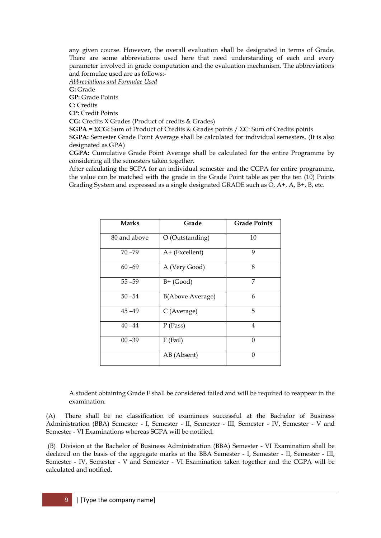any given course. However, the overall evaluation shall be designated in terms of Grade. There are some abbreviations used here that need understanding of each and every parameter involved in grade computation and the evaluation mechanism. The abbreviations and formulae used are as follows:-

*Abbreviations and Formulae Used*

**G:** Grade

**GP:** Grade Points

**C:** Credits

**CP:** Credit Points

**CG:** Credits X Grades (Product of credits & Grades)

**SGPA = ΣCG:** Sum of Product of Credits & Grades points / ΣC: Sum of Credits points **SGPA:** Semester Grade Point Average shall be calculated for individual semesters. (It is also

designated as GPA)

**CGPA:** Cumulative Grade Point Average shall be calculated for the entire Programme by considering all the semesters taken together.

After calculating the SGPA for an individual semester and the CGPA for entire programme, the value can be matched with the grade in the Grade Point table as per the ten (10) Points Grading System and expressed as a single designated GRADE such as O, A+, A, B+, B, etc.

| <b>Marks</b> | Grade                   | <b>Grade Points</b> |
|--------------|-------------------------|---------------------|
| 80 and above | O (Outstanding)         | 10                  |
| $70 - 79$    | A+ (Excellent)          | 9                   |
| $60 - 69$    | A (Very Good)           | 8                   |
| $55 - 59$    | $B+$ (Good)             | 7                   |
| $50 - 54$    | <b>B(Above Average)</b> | 6                   |
| $45 - 49$    | C (Average)             | 5                   |
| $40 - 44$    | $P$ (Pass)              | 4                   |
| $00 - 39$    | $F$ (Fail)              | 0                   |
|              | AB (Absent)             | ∩                   |

A student obtaining Grade F shall be considered failed and will be required to reappear in the examination.

(A) There shall be no classification of examinees successful at the Bachelor of Business Administration (BBA) Semester - I, Semester - II, Semester - III, Semester - IV, Semester - V and Semester - VI Examinations whereas SGPA will be notified.

(B) Division at the Bachelor of Business Administration (BBA) Semester - VI Examination shall be declared on the basis of the aggregate marks at the BBA Semester - I, Semester - II, Semester - III, Semester - IV, Semester - V and Semester - VI Examination taken together and the CGPA will be calculated and notified.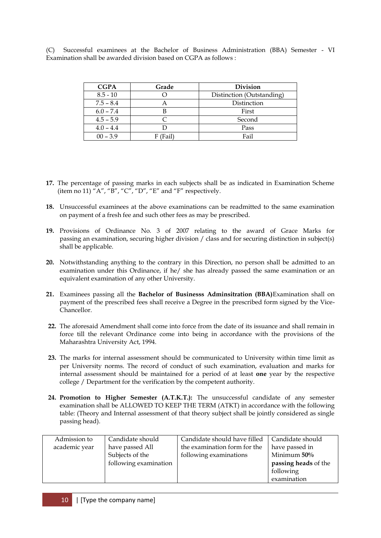(C) Successful examinees at the Bachelor of Business Administration (BBA) Semester - VI Examination shall be awarded division based on CGPA as follows :

| <b>CGPA</b> | Grade      | <b>Division</b>           |  |  |  |  |
|-------------|------------|---------------------------|--|--|--|--|
| $8.5 - 10$  |            | Distinction (Outstanding) |  |  |  |  |
| $7.5 - 8.4$ |            | Distinction               |  |  |  |  |
| $6.0 - 7.4$ |            | First                     |  |  |  |  |
| $4.5 - 5.9$ |            | Second                    |  |  |  |  |
| $4.0 - 4.4$ |            | Pass                      |  |  |  |  |
| $00 - 3.9$  | $F$ (Fail) | Fail                      |  |  |  |  |

- **17.** The percentage of passing marks in each subjects shall be as indicated in Examination Scheme (item no 11) "A", "B", "C", "D", "E" and "F" respectively.
- **18.** Unsuccessful examinees at the above examinations can be readmitted to the same examination on payment of a fresh fee and such other fees as may be prescribed.
- **19.** Provisions of Ordinance No. 3 of 2007 relating to the award of Grace Marks for passing an examination, securing higher division / class and for securing distinction in subject(s) shall be applicable.
- **20.** Notwithstanding anything to the contrary in this Direction, no person shall be admitted to an examination under this Ordinance, if he/ she has already passed the same examination or an equivalent examination of any other University.
- **21.** Examinees passing all the **Bachelor of Businesss Adminsitration (BBA)**Examination shall on payment of the prescribed fees shall receive a Degree in the prescribed form signed by the Vice-Chancellor.
- **22.** The aforesaid Amendment shall come into force from the date of its issuance and shall remain in force till the relevant Ordinance come into being in accordance with the provisions of the Maharashtra University Act, 1994.
- **23.** The marks for internal assessment should be communicated to University within time limit as per University norms. The record of conduct of such examination, evaluation and marks for internal assessment should be maintained for a period of at least **one** year by the respective college / Department for the verification by the competent authority.
- **24. Promotion to Higher Semester (A.T.K.T.):** The unsuccessful candidate of any semester examination shall be ALLOWED TO KEEP THE TERM (ATKT) in accordance with the following table: (Theory and Internal assessment of that theory subject shall be jointly considered as single passing head).

| Admission to  | Candidate should      | Candidate should have filled | Candidate should     |
|---------------|-----------------------|------------------------------|----------------------|
| academic year | have passed All       | the examination form for the | have passed in       |
|               | Subjects of the       | following examinations       | Minimum 50%          |
|               | following examination |                              | passing heads of the |
|               |                       |                              | following            |
|               |                       |                              | examination          |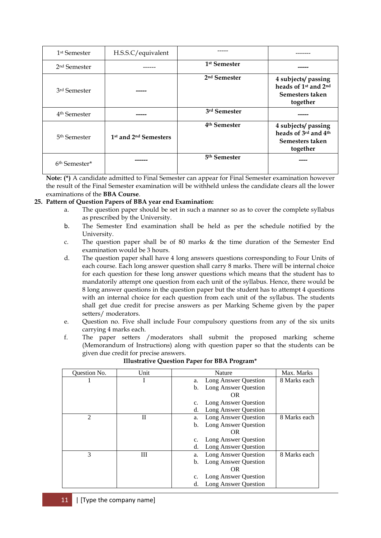| 1 <sup>st</sup> Semester  | H.S.S.C/equivalent                            |                          |                                                                                                    |
|---------------------------|-----------------------------------------------|--------------------------|----------------------------------------------------------------------------------------------------|
| 2 <sup>nd</sup> Semester  |                                               | 1 <sup>st</sup> Semester | -----                                                                                              |
| 3 <sup>rd</sup> Semester  |                                               | 2 <sup>nd</sup> Semester | 4 subjects/ passing<br>heads of 1 <sup>st</sup> and 2 <sup>nd</sup><br>Semesters taken<br>together |
| 4 <sup>th</sup> Semester  |                                               | 3rd Semester             |                                                                                                    |
| 5 <sup>th</sup> Semester  | 1 <sup>st</sup> and 2 <sup>nd</sup> Semesters | 4 <sup>th</sup> Semester | 4 subjects/ passing<br>heads of 3rd and 4th<br>Semesters taken<br>together                         |
| 6 <sup>th</sup> Semester* |                                               | 5 <sup>th</sup> Semester |                                                                                                    |

**Note: (\*)** A candidate admitted to Final Semester can appear for Final Semester examination however the result of the Final Semester examination will be withheld unless the candidate clears all the lower examinations of the **BBA Course**.

#### **25. Pattern of Question Papers of BBA year end Examination:**

- a. The question paper should be set in such a manner so as to cover the complete syllabus as prescribed by the University.
- b. The Semester End examination shall be held as per the schedule notified by the University.
- c. The question paper shall be of 80 marks & the time duration of the Semester End examination would be 3 hours.
- d. The question paper shall have 4 long answers questions corresponding to Four Units of each course. Each long answer question shall carry 8 marks. There will be internal choice for each question for these long answer questions which means that the student has to mandatorily attempt one question from each unit of the syllabus. Hence, there would be 8 long answer questions in the question paper but the student has to attempt 4 questions with an internal choice for each question from each unit of the syllabus. The students shall get due credit for precise answers as per Marking Scheme given by the paper setters/ moderators.
- e. Question no. Five shall include Four compulsory questions from any of the six units carrying 4 marks each.
- f. The paper setters /moderators shall submit the proposed marking scheme (Memorandum of Instructions) along with question paper so that the students can be given due credit for precise answers.

| <b>Ouestion No.</b> | Unit | <b>Nature</b>                       | Max. Marks   |
|---------------------|------|-------------------------------------|--------------|
|                     |      | Long Answer Question<br>a.          | 8 Marks each |
|                     |      | Long Answer Question<br>b.          |              |
|                     |      | OR                                  |              |
|                     |      | Long Answer Question<br>$C_{\star}$ |              |
|                     |      | Long Answer Question<br>d.          |              |
| $\overline{2}$      | П    | Long Answer Question<br>a.          | 8 Marks each |
|                     |      | Long Answer Question<br>b.          |              |
|                     |      | OR                                  |              |
|                     |      | Long Answer Question<br>c.          |              |
|                     |      | d.<br>Long Answer Question          |              |
| 3                   | Ш    | Long Answer Question<br>a.          | 8 Marks each |
|                     |      | Long Answer Question<br>b.          |              |
|                     |      | OR                                  |              |
|                     |      | Long Answer Question<br>c.          |              |
|                     |      | Long Answer Question<br>d.          |              |

**Illustrative Question Paper for BBA Program\***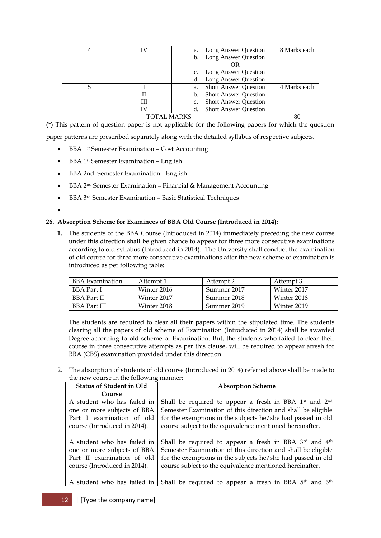|             | IV | a. | Long Answer Question         | 8 Marks each |
|-------------|----|----|------------------------------|--------------|
|             |    |    | b. Long Answer Question      |              |
|             |    |    | OR                           |              |
|             |    |    | Long Answer Question         |              |
|             |    |    | d. Long Answer Question      |              |
|             |    | a. | <b>Short Answer Question</b> | 4 Marks each |
|             | П  |    | b. Short Answer Question     |              |
|             | Ш  |    | <b>Short Answer Question</b> |              |
|             | IV |    | <b>Short Answer Question</b> |              |
| TOTAL MARKS |    |    | 80                           |              |

**(\*)** This pattern of question paper is not applicable for the following papers for which the question paper patterns are prescribed separately along with the detailed syllabus of respective subjects.

- BBA 1st Semester Examination Cost Accounting
- BBA 1st Semester Examination English
- BBA 2nd Semester Examination English
- BBA 2<sup>nd</sup> Semester Examination Financial & Management Accounting
- BBA 3rd Semester Examination Basic Statistical Techniques
- $\bullet$

## **26. Absorption Scheme for Examinees of BBA Old Course (Introduced in 2014):**

**1.** The students of the BBA Course (Introduced in 2014) immediately preceding the new course under this direction shall be given chance to appear for three more consecutive examinations according to old syllabus (Introduced in 2014). The University shall conduct the examination of old course for three more consecutive examinations after the new scheme of examination is introduced as per following table:

| BBA Examination     | Attempt 1   | Attempt 2   | Attempt 3   |
|---------------------|-------------|-------------|-------------|
| BBA Part I          | Winter 2016 | Summer 2017 | Winter 2017 |
| <b>BBA</b> Part II  | Winter 2017 | Summer 2018 | Winter 2018 |
| <b>BBA Part III</b> | Winter 2018 | Summer 2019 | Winter 2019 |

The students are required to clear all their papers within the stipulated time. The students clearing all the papers of old scheme of Examination (Introduced in 2014) shall be awarded Degree according to old scheme of Examination. But, the students who failed to clear their course in three consecutive attempts as per this clause, will be required to appear afresh for BBA (CBS) examination provided under this direction.

2. The absorption of students of old course (Introduced in 2014) referred above shall be made to the new course in the following manner:

| <b>Status of Student in Old</b>                                                                                          | <b>Absorption Scheme</b>                                                                                                                                                                                                                                                  |
|--------------------------------------------------------------------------------------------------------------------------|---------------------------------------------------------------------------------------------------------------------------------------------------------------------------------------------------------------------------------------------------------------------------|
| Course                                                                                                                   |                                                                                                                                                                                                                                                                           |
| A student who has failed in<br>one or more subjects of BBA<br>Part I examination of old<br>course (Introduced in 2014).  | Shall be required to appear a fresh in BBA 1 <sup>st</sup> and 2 <sup>nd</sup><br>Semester Examination of this direction and shall be eligible<br>for the exemptions in the subjects he/she had passed in old<br>course subject to the equivalence mentioned hereinafter. |
| A student who has failed in<br>one or more subjects of BBA<br>Part II examination of old<br>course (Introduced in 2014). | Shall be required to appear a fresh in BBA 3rd and 4th<br>Semester Examination of this direction and shall be eligible<br>for the exemptions in the subjects he/she had passed in old<br>course subject to the equivalence mentioned hereinafter.                         |
| A student who has failed in                                                                                              | Shall be required to appear a fresh in BBA 5 <sup>th</sup> and 6 <sup>th</sup>                                                                                                                                                                                            |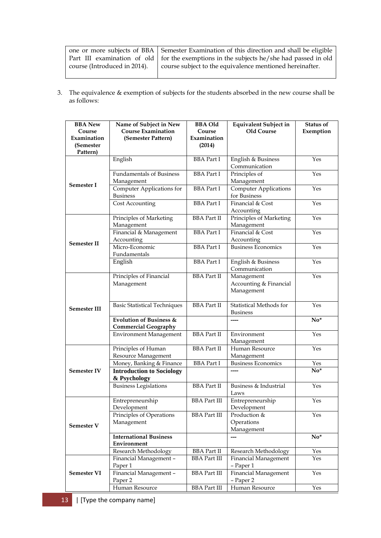|                              | one or more subjects of BBA Semester Examination of this direction and shall be eligible  |
|------------------------------|-------------------------------------------------------------------------------------------|
|                              | Part III examination of old   for the exemptions in the subjects he/she had passed in old |
| course (Introduced in 2014). | course subject to the equivalence mentioned hereinafter.                                  |
|                              |                                                                                           |

3. The equivalence & exemption of subjects for the students absorbed in the new course shall be as follows:

| <b>BBA</b> New      | Name of Subject in New              | <b>BBA Old</b>       | <b>Equivalent Subject in</b>        | <b>Status of</b> |
|---------------------|-------------------------------------|----------------------|-------------------------------------|------------------|
| Course              | <b>Course Examination</b>           | Course               | <b>Old Course</b>                   | Exemption        |
| Examination         | (Semester Pattern)                  | Examination          |                                     |                  |
| (Semester           |                                     | (2014)               |                                     |                  |
| Pattern)            | English                             | <b>BBA</b> Part I    | English & Business                  | Yes              |
|                     |                                     |                      | Communication                       |                  |
|                     | <b>Fundamentals of Business</b>     | <b>BBA</b> Part I    | Principles of                       | Yes              |
|                     | Management                          |                      | Management                          |                  |
| Semester I          | Computer Applications for           | <b>BBA</b> Part I    | <b>Computer Applications</b>        | Yes              |
|                     | <b>Business</b>                     |                      | for Business                        |                  |
|                     | Cost Accounting                     | <b>BBA</b> Part I    | Financial & Cost                    | Yes              |
|                     |                                     |                      | Accounting                          |                  |
|                     | Principles of Marketing             | <b>BBA</b> Part II   | Principles of Marketing             | Yes              |
|                     | Management                          |                      | Management                          |                  |
|                     | Financial & Management              | <b>BBA</b> Part I    | Financial & Cost                    | Yes              |
| <b>Semester II</b>  | Accounting                          |                      | Accounting                          |                  |
|                     | Micro-Economic                      | <b>BBA</b> Part I    | <b>Business Economics</b>           | Yes              |
|                     | Fundamentals                        |                      |                                     |                  |
|                     | English                             | <b>BBA</b> Part I    | English & Business<br>Communication | Yes              |
|                     | Principles of Financial             | <b>BBA</b> Part II   | Management                          | Yes              |
|                     | Management                          |                      | Accounting & Financial              |                  |
|                     |                                     |                      | Management                          |                  |
|                     |                                     |                      |                                     |                  |
| <b>Semester III</b> | <b>Basic Statistical Techniques</b> | <b>BBA</b> Part II   | Statistical Methods for             | Yes              |
|                     |                                     |                      | <b>Business</b>                     |                  |
|                     | <b>Evolution of Business &amp;</b>  |                      |                                     | $No*$            |
|                     | <b>Commercial Geography</b>         |                      |                                     |                  |
|                     | <b>Environment Management</b>       | <b>BBA</b> Part II   | Environment                         | Yes              |
|                     | Principles of Human                 | <b>BBA</b> Part II   | Management<br>Human Resource        | Yes              |
|                     | Resource Management                 |                      | Management                          |                  |
|                     | Money, Banking & Finance            | <b>BBA</b> Part I    | Business Economics                  | Yes              |
| <b>Semester IV</b>  | <b>Introduction to Sociology</b>    |                      | ----                                | $No*$            |
|                     | & Psychology                        |                      |                                     |                  |
|                     | <b>Business Legislations</b>        | <b>BBA</b> Part II   | Business & Industrial               | Yes              |
|                     |                                     |                      | Laws                                |                  |
|                     | Entrepreneurship                    | <b>BBA</b> Part III  | Entrepreneurship                    | Yes              |
|                     | Development                         |                      | Development                         |                  |
|                     | Principles of Operations            | <b>BBA</b> Part III  | Production &                        | Yes              |
| <b>Semester V</b>   | Management                          |                      | Operations<br>Management            |                  |
|                     | <b>International Business</b>       |                      | ---                                 | $No*$            |
|                     | Environment                         |                      |                                     |                  |
|                     | Research Methodology                | <b>BBA</b> Part II   | Research Methodology                | Yes              |
|                     | Financial Management -              | <b>BBA Part III</b>  | Financial Management                | Yes              |
|                     | Paper 1                             |                      | - Paper 1                           |                  |
| Semester VI         | Financial Management -              | <b>BBA</b> Part III  | <b>Financial Management</b>         | Yes              |
|                     | Paper 2                             |                      | - Paper 2                           |                  |
|                     | Human Resource                      | ${\rm BBA}$ Part III | Human Resource                      | Yes              |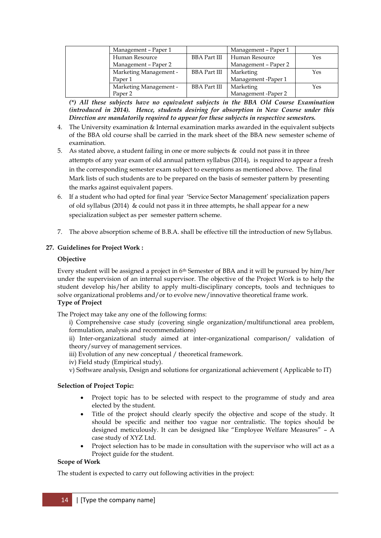| Management – Paper 1   |                     | Management - Paper 1 |     |
|------------------------|---------------------|----------------------|-----|
| Human Resource         | <b>BBA Part III</b> | Human Resource       | Yes |
| Management – Paper 2   |                     | Management – Paper 2 |     |
| Marketing Management - | <b>BBA Part III</b> | Marketing            | Yes |
| Paper 1                |                     | Management -Paper 1  |     |
| Marketing Management - | <b>BBA</b> Part III | Marketing            | Yes |
| Paper 2                |                     | Management -Paper 2  |     |

*(\*) All these subjects have no equivalent subjects in the BBA Old Course Examination (introduced in 2014). Hence, students desiring for absorption in New Course under this Direction are mandatorily required to appear for these subjects in respective semesters.*

- 4. The University examination & Internal examination marks awarded in the equivalent subjects of the BBA old course shall be carried in the mark sheet of the BBA new semester scheme of examination.
- 5. As stated above, a student failing in one or more subjects & could not pass it in three attempts of any year exam of old annual pattern syllabus (2014), is required to appear a fresh in the corresponding semester exam subject to exemptions as mentioned above. The final Mark lists of such students are to be prepared on the basis of semester pattern by presenting the marks against equivalent papers.
- 6. If a student who had opted for final year "Service Sector Management" specialization papers of old syllabus (2014) & could not pass it in three attempts, he shall appear for a new specialization subject as per semester pattern scheme.
- 7. The above absorption scheme of B.B.A. shall be effective till the introduction of new Syllabus.

## **27. Guidelines for Project Work :**

## **Objective**

Every student will be assigned a project in 6th Semester of BBA and it will be pursued by him/her under the supervision of an internal supervisor. The objective of the Project Work is to help the student develop his/her ability to apply multi-disciplinary concepts, tools and techniques to solve organizational problems and/or to evolve new/innovative theoretical frame work. **Type of Project** 

The Project may take any one of the following forms:

i) Comprehensive case study (covering single organization/multifunctional area problem, formulation, analysis and recommendations)

ii) Inter-organizational study aimed at inter-organizational comparison/ validation of theory/survey of management services.

iii) Evolution of any new conceptual / theoretical framework.

iv) Field study (Empirical study).

v) Software analysis, Design and solutions for organizational achievement ( Applicable to IT)

## **Selection of Project Topic:**

- Project topic has to be selected with respect to the programme of study and area elected by the student.
- Title of the project should clearly specify the objective and scope of the study. It should be specific and neither too vague nor centralistic. The topics should be designed meticulously. It can be designed like "Employee Welfare Measures" – A case study of XYZ Ltd.
- Project selection has to be made in consultation with the supervisor who will act as a Project guide for the student.

## **Scope of Work**

The student is expected to carry out following activities in the project: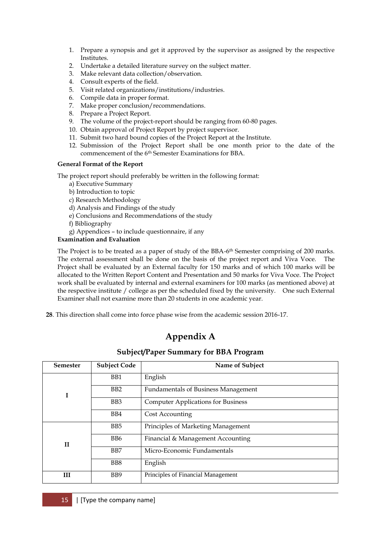- 1. Prepare a synopsis and get it approved by the supervisor as assigned by the respective Institutes.
- 2. Undertake a detailed literature survey on the subject matter.
- 3. Make relevant data collection/observation.
- 4. Consult experts of the field.
- 5. Visit related organizations/institutions/industries.
- 6. Compile data in proper format.
- 7. Make proper conclusion/recommendations.
- 8. Prepare a Project Report.
- 9. The volume of the project-report should be ranging from 60-80 pages.
- 10. Obtain approval of Project Report by project supervisor.
- 11. Submit two hard bound copies of the Project Report at the Institute.
- 12. Submission of the Project Report shall be one month prior to the date of the commencement of the 6<sup>th</sup> Semester Examinations for BBA.

## **General Format of the Report**

The project report should preferably be written in the following format:

- a) Executive Summary
- b) Introduction to topic
- c) Research Methodology
- d) Analysis and Findings of the study
- e) Conclusions and Recommendations of the study
- f) Bibliography
- g) Appendices to include questionnaire, if any

## **Examination and Evaluation**

The Project is to be treated as a paper of study of the BBA-6<sup>th</sup> Semester comprising of 200 marks. The external assessment shall be done on the basis of the project report and Viva Voce. The Project shall be evaluated by an External faculty for 150 marks and of which 100 marks will be allocated to the Written Report Content and Presentation and 50 marks for Viva Voce. The Project work shall be evaluated by internal and external examiners for 100 marks (as mentioned above) at the respective institute / college as per the scheduled fixed by the university. One such External Examiner shall not examine more than 20 students in one academic year.

**28**. This direction shall come into force phase wise from the academic session 2016-17.

# **Appendix A**

# **Subject/Paper Summary for BBA Program**

| <b>Semester</b>                                                    | <b>Subject Code</b> | Name of Subject                           |  |
|--------------------------------------------------------------------|---------------------|-------------------------------------------|--|
|                                                                    | B <sub>B1</sub>     | English                                   |  |
| B <sub>B2</sub><br><b>Fundamentals of Business Management</b><br>I |                     |                                           |  |
|                                                                    | B <sub>B</sub> 3    | <b>Computer Applications for Business</b> |  |
|                                                                    | B <sub>B</sub>      | Cost Accounting                           |  |
|                                                                    | B <sub>B5</sub>     | Principles of Marketing Management        |  |
| $\mathbf{I}$                                                       | B <sub>B6</sub>     | Financial & Management Accounting         |  |
|                                                                    | B <sub>B7</sub>     | Micro-Economic Fundamentals               |  |
|                                                                    | B <sub>B8</sub>     | English                                   |  |
| Ш                                                                  | B <sub>B9</sub>     | Principles of Financial Management        |  |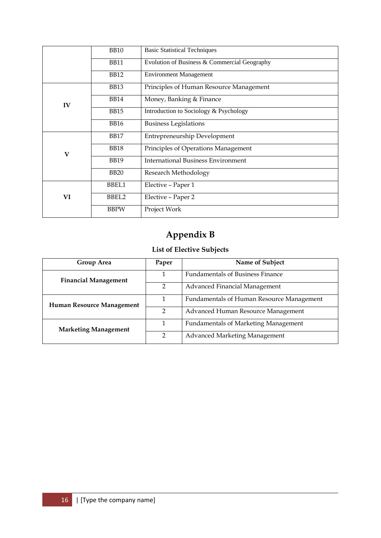|              | <b>BB10</b> | <b>Basic Statistical Techniques</b>          |  |
|--------------|-------------|----------------------------------------------|--|
|              | <b>BB11</b> | Evolution of Business & Commercial Geography |  |
|              | <b>BB12</b> | <b>Environment Management</b>                |  |
|              | <b>BB13</b> | Principles of Human Resource Management      |  |
| IV           | <b>BB14</b> | Money, Banking & Finance                     |  |
|              | <b>BB15</b> | Introduction to Sociology & Psychology       |  |
|              | <b>BB16</b> | <b>Business Legislations</b>                 |  |
|              | <b>BB17</b> | <b>Entrepreneurship Development</b>          |  |
| $\mathbf{V}$ | <b>BB18</b> | Principles of Operations Management          |  |
|              | <b>BB19</b> | <b>International Business Environment</b>    |  |
|              | <b>BB20</b> | Research Methodology                         |  |
|              | BBEL1       | Elective - Paper 1                           |  |
| VI           | BBEL2       | Elective - Paper 2                           |  |
|              | <b>BBPW</b> | Project Work                                 |  |

# **Appendix B**

# **List of Elective Subjects**

| Group Area                  | Paper          | Name of Subject                             |  |
|-----------------------------|----------------|---------------------------------------------|--|
| <b>Financial Management</b> |                | <b>Fundamentals of Business Finance</b>     |  |
|                             | $\overline{2}$ | Advanced Financial Management               |  |
| Human Resource Management   | 1              | Fundamentals of Human Resource Management   |  |
|                             | 2              | Advanced Human Resource Management          |  |
| <b>Marketing Management</b> | 1              | <b>Fundamentals of Marketing Management</b> |  |
|                             | っ              | Advanced Marketing Management               |  |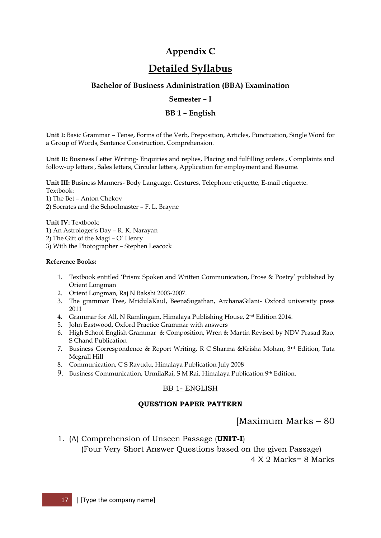# **Appendix C**

# **Detailed Syllabus**

# **Bachelor of Business Administration (BBA) Examination**

## **Semester – I**

# **BB 1 – English**

**Unit I:** Basic Grammar – Tense, Forms of the Verb, Preposition, Articles, Punctuation, Single Word for a Group of Words, Sentence Construction, Comprehension.

**Unit II:** Business Letter Writing- Enquiries and replies, Placing and fulfilling orders , Complaints and follow-up letters , Sales letters, Circular letters, Application for employment and Resume.

**Unit III:** Business Manners- Body Language, Gestures, Telephone etiquette, E-mail etiquette.

Textbook:

1) The Bet – Anton Chekov

2) Socrates and the Schoolmaster – F. L. Brayne

**Unit IV:** Textbook:

- 1) An Astrologer"s Day R. K. Narayan
- 2) The Gift of the Magi  $O'$  Henry
- 3) With the Photographer Stephen Leacock

#### **Reference Books:**

- 1. Textbook entitled "Prism: Spoken and Written Communication, Prose & Poetry" published by Orient Longman
- 2. Orient Longman, Raj N Bakshi 2003-2007.
- 3. The grammar Tree, MridulaKaul, BeenaSugathan, ArchanaGilani- Oxford university press 2011
- 4. Grammar for All, N Ramlingam, Himalaya Publishing House, 2nd Edition 2014.
- 5. John Eastwood, Oxford Practice Grammar with answers
- 6. High School English Grammar & Composition, Wren & Martin Revised by NDV Prasad Rao, S Chand Publication
- **7.** Business Correspondence & Report Writing, R C Sharma &Krisha Mohan, 3rd Edition, Tata Mcgrall Hill
- 8. Communication, C S Rayudu, Himalaya Publication July 2008
- 9. Business Communication, UrmilaRai, S M Rai, Himalaya Publication 9th Edition.

# BB 1- ENGLISH

# **QUESTION PAPER PATTERN**

[Maximum Marks – 80

1. (A) Comprehension of Unseen Passage (**UNIT-I**)

 (Four Very Short Answer Questions based on the given Passage) 4 X 2 Marks= 8 Marks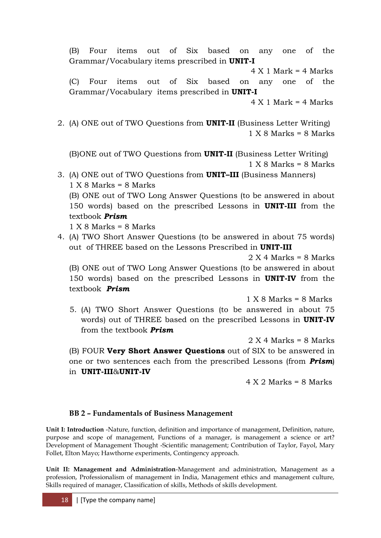(B) Four items out of Six based on any one of the Grammar/Vocabulary items prescribed in **UNIT-I**  $4 X 1$  Mark =  $4$  Marks

(C) Four items out of Six based on any one of the Grammar/Vocabulary items prescribed in **UNIT-I**

- $4 X 1$  Mark =  $4$  Marks
- 2. (A) ONE out of TWO Questions from **UNIT-II** (Business Letter Writing)  $1 X 8 Marks = 8 Marks$

(B)ONE out of TWO Questions from **UNIT-II** (Business Letter Writing)  $1 X 8 Marks = 8 Marks$ 

- 3. (A) ONE out of TWO Questions from **UNIT–III** (Business Manners)  $1 X 8 Marks = 8 Marks$ (B) ONE out of TWO Long Answer Questions (to be answered in about 150 words) based on the prescribed Lessons in **UNIT-III** from the textbook *Prism*  $1 X 8 Marks = 8 Marks$
- 4. (A) TWO Short Answer Questions (to be answered in about 75 words) out of THREE based on the Lessons Prescribed in **UNIT-III**

 $2 X 4 Marks = 8 Marks$ 

(B) ONE out of TWO Long Answer Questions (to be answered in about 150 words) based on the prescribed Lessons in **UNIT-IV** from the textbook *Prism*

 $1 X 8$  Marks = 8 Marks

5. (A) TWO Short Answer Questions (to be answered in about 75 words) out of THREE based on the prescribed Lessons in **UNIT-IV**  from the textbook *Prism*

 $2 X 4 Marks = 8 Marks$ (B) FOUR **Very Short Answer Questions** out of SIX to be answered in

one or two sentences each from the prescribed Lessons (from *Prism*) in **UNIT-III**&**UNIT-IV**

 $4 X 2 Marks = 8 Marks$ 

# **BB 2 – Fundamentals of Business Management**

**Unit I: Introduction** -Nature, function, definition and importance of management, Definition, nature, purpose and scope of management, Functions of a manager, is management a science or art? Development of Management Thought -Scientific management; Contribution of Taylor, Fayol, Mary Follet, Elton Mayo; Hawthorne experiments, Contingency approach.

**Unit II: Management and Administration**-Management and administration, Management as a profession, Professionalism of management in India, Management ethics and management culture, Skills required of manager, Classification of skills, Methods of skills development.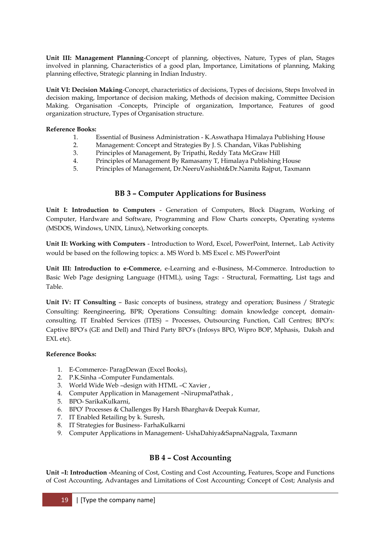**Unit III: Management Planning**-Concept of planning, objectives, Nature, Types of plan, Stages involved in planning, Characteristics of a good plan, Importance, Limitations of planning, Making planning effective, Strategic planning in Indian Industry.

**Unit VI: Decision Making**-Concept, characteristics of decisions, Types of decisions, Steps Involved in decision making, Importance of decision making, Methods of decision making, Committee Decision Making. Organisation -Concepts, Principle of organization, Importance, Features of good organization structure, Types of Organisation structure.

#### **Reference Books:**

- 1. Essential of Business Administration K.Aswathapa Himalaya Publishing House
- 2. Management: Concept and Strategies By J. S. Chandan, Vikas Publishing
- 3. Principles of Management, By Tripathi, Reddy Tata McGraw Hill
- 4. Principles of Management By Ramasamy T, Himalaya Publishing House
- 5. Principles of Management, Dr.NeeruVashisht&Dr.Namita Rajput, Taxmann

# **BB 3 – Computer Applications for Business**

**Unit I: Introduction to Computers** - Generation of Computers, Block Diagram, Working of Computer, Hardware and Software, Programming and Flow Charts concepts, Operating systems (MSDOS, Windows, UNIX, Linux), Networking concepts.

**Unit II: Working with Computers** - Introduction to Word, Excel, PowerPoint, Internet,. Lab Activity would be based on the following topics: a. MS Word b. MS Excel c. MS PowerPoint

**Unit III: Introduction to e-Commerce**, e-Learning and e-Business, M-Commerce. Introduction to Basic Web Page designing Language (HTML), using Tags: - Structural, Formatting, List tags and Table.

**Unit IV: IT Consulting** – Basic concepts of business, strategy and operation; Business / Strategic Consulting: Reengineering, BPR; Operations Consulting: domain knowledge concept, domainconsulting. IT Enabled Services (ITES) – Processes, Outsourcing Function, Call Centres; BPO"s: Captive BPO"s (GE and Dell) and Third Party BPO"s (Infosys BPO, Wipro BOP, Mphasis, Daksh and EXL etc).

## **Reference Books:**

- 1. E-Commerce- ParagDewan (Excel Books),
- 2. P.K.Sinha –Computer Fundamentals.
- 3. World Wide Web –design with HTML –C Xavier ,
- 4. Computer Application in Management –NirupmaPathak ,
- 5. BPO- SarikaKulkarni,
- 6. BPO" Processes & Challenges By Harsh Bharghav& Deepak Kumar,
- 7. IT Enabled Retailing by k. Suresh,
- 8. IT Strategies for Business- FarhaKulkarni
- 9. Computer Applications in Management- UshaDahiya&SapnaNagpala, Taxmann

# **BB 4 – Cost Accounting**

**Unit –I: Introduction -**Meaning of Cost, Costing and Cost Accounting, Features, Scope and Functions of Cost Accounting, Advantages and Limitations of Cost Accounting; Concept of Cost; Analysis and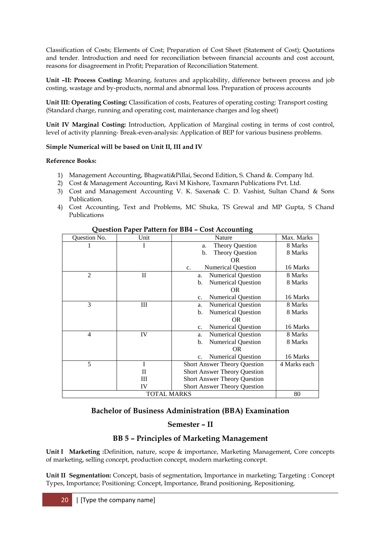Classification of Costs; Elements of Cost; Preparation of Cost Sheet (Statement of Cost); Quotations and tender. Introduction and need for reconciliation between financial accounts and cost account, reasons for disagreement in Profit; Preparation of Reconciliation Statement.

**Unit –II: Process Costing:** Meaning, features and applicability, difference between process and job costing, wastage and by-products, normal and abnormal loss. Preparation of process accounts

**Unit III: Operating Costing:** Classification of costs, Features of operating costing: Transport costing (Standard charge, running and operating cost, maintenance charges and log sheet)

**Unit IV Marginal Costing:** Introduction, Application of Marginal costing in terms of cost control, level of activity planning- Break-even-analysis: Application of BEP for various business problems.

## **Simple Numerical will be based on Unit II, III and IV**

## **Reference Books:**

- 1) Management Accounting, Bhagwati&Pillai, Second Edition, S. Chand &. Company ltd.
- 2) Cost & Management Accounting, Ravi M Kishore, Taxmann Publications Pvt. Ltd.
- 3) Cost and Management Accounting V. K. Saxena& C. D. Vashist, Sultan Chand & Sons Publication.
- 4) Cost Accounting, Text and Problems, MC Shuka, TS Grewal and MP Gupta, S Chand Publications

| Question No.       | Unit         | Nature                                      | Max. Marks   |
|--------------------|--------------|---------------------------------------------|--------------|
|                    |              | <b>Theory Question</b><br>a.                | 8 Marks      |
|                    |              | <b>Theory Question</b><br>b.                | 8 Marks      |
|                    |              | OR.                                         |              |
|                    |              | <b>Numerical Question</b><br>$C_{\bullet}$  | 16 Marks     |
| $\overline{2}$     | $\rm{II}$    | <b>Numerical Question</b><br>a.             | 8 Marks      |
|                    |              | <b>Numerical Question</b><br>b.             | 8 Marks      |
|                    |              | <b>OR</b>                                   |              |
|                    |              | <b>Numerical Question</b><br>$\mathbf{c}$ . | 16 Marks     |
| 3                  | Ш            | <b>Numerical Question</b><br>a.             | 8 Marks      |
|                    |              | <b>Numerical Question</b><br>b.             | 8 Marks      |
|                    |              | OR.                                         |              |
|                    |              | <b>Numerical Question</b><br>$\mathbf{c}$ . | 16 Marks     |
| $\overline{4}$     | IV           | <b>Numerical Question</b><br>a.             | 8 Marks      |
|                    |              | <b>Numerical Question</b><br>b.             | 8 Marks      |
|                    |              | OR.                                         |              |
|                    |              | <b>Numerical Question</b><br>c.             | 16 Marks     |
| 5                  | I            | <b>Short Answer Theory Question</b>         | 4 Marks each |
|                    | $\mathbf{I}$ | <b>Short Answer Theory Question</b>         |              |
|                    | III          | <b>Short Answer Theory Question</b>         |              |
|                    | IV           | <b>Short Answer Theory Question</b>         |              |
| <b>TOTAL MARKS</b> |              |                                             | 80           |

# **Question Paper Pattern for BB4 – Cost Accounting**

# **Bachelor of Business Administration (BBA) Examination**

# **Semester – II**

# **BB 5 – Principles of Marketing Management**

**Unit I Marketing :**Definition, nature, scope & importance, Marketing Management, Core concepts of marketing, selling concept, production concept, modern marketing concept.

**Unit II Segmentation:** Concept, basis of segmentation, Importance in marketing; Targeting : Concept Types, Importance; Positioning: Concept, Importance, Brand positioning, Repositioning.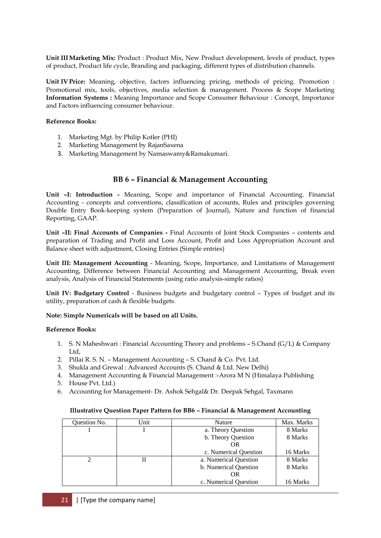**Unit IIIMarketing Mix:** Product : Product Mix, New Product development, levels of product, types of product, Product life cycle, Branding and packaging, different types of distribution channels.

**Unit IVPrice:** Meaning, objective, factors influencing pricing, methods of pricing. Promotion : Promotional mix, tools, objectives, media selection & management. Process & Scope Marketing **Information Systems :** Meaning Importance and Scope Consumer Behaviour : Concept, Importance and Factors influencing consumer behaviour.

#### **Reference Books:**

- 1. Marketing Mgt. by Philip Kotler (PHI)
- 2. Marketing Management by RajanSaxena
- 3. Marketing Management by Namaswamy&Ramakumari.

## **BB 6 – Financial & Management Accounting**

**Unit –I: Introduction -** Meaning, Scope and importance of Financial Accounting. Financial Accounting - concepts and conventions, classification of accounts, Rules and principles governing Double Entry Book-keeping system (Preparation of Journal), Nature and function of financial Reporting, GAAP.

**Unit –II: Final Accounts of Companies -** Final Accounts of Joint Stock Companies – contents and preparation of Trading and Profit and Loss Account, Profit and Loss Appropriation Account and Balance sheet with adjustment, Closing Entries (Simple entries)

**Unit III: Management Accounting** - Meaning, Scope, Importance, and Limitations of Management Accounting, Difference between Financial Accounting and Management Accounting, Break even analysis, Analysis of Financial Statements (using ratio analysis-simple ratios)

**Unit IV: Budgetary Control** - Business budgets and budgetary control – Types of budget and its utility, preparation of cash & flexible budgets.

#### **Note: Simple Numericals will be based on all Units.**

#### **Reference Books:**

- 1. S. N Maheshwari : Financial Accounting Theory and problems S.Chand (G/L) & Company Ltd,
- 2. Pillai R. S. N. Management Accounting S. Chand & Co. Pvt. Ltd.
- 3. Shukla and Grewal : Advanced Accounts (S. Chand & Ltd. New Delhi)
- 4. Management Accounting & Financial Management :-Arora M N (Himalaya Publishing
- 5. House Pvt. Ltd.)
- 6. Accounting for Management- Dr. Ashok Sehgal& Dr. Deepak Sehgal, Taxmann

#### **Illustrative Question Paper Pattern for BB6 – Financial & Management Accounting**

| <b>Ouestion No.</b> | Unit | Nature                | Max. Marks |
|---------------------|------|-----------------------|------------|
|                     |      | a. Theory Question    | 8 Marks    |
|                     |      | b. Theory Question    | 8 Marks    |
|                     |      | OR                    |            |
|                     |      | c. Numerical Question | 16 Marks   |
|                     |      | a. Numerical Question | 8 Marks    |
|                     |      | b. Numerical Question | 8 Marks    |
|                     |      | OR                    |            |
|                     |      | c. Numerical Question | 16 Marks   |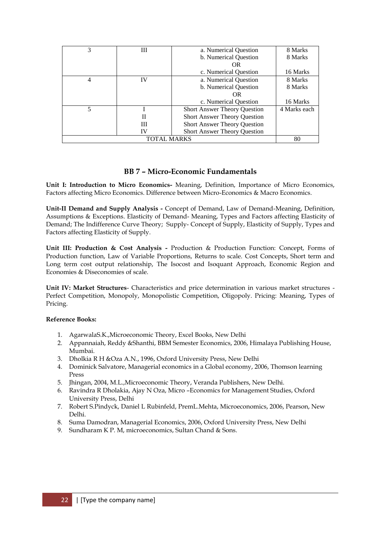| 3                  | Ш  | a. Numerical Question               | 8 Marks      |
|--------------------|----|-------------------------------------|--------------|
|                    |    | b. Numerical Question               | 8 Marks      |
|                    |    | OR.                                 |              |
|                    |    | c. Numerical Question               | 16 Marks     |
| 4                  | IV | a. Numerical Question               | 8 Marks      |
|                    |    | b. Numerical Question               | 8 Marks      |
|                    |    | OR.                                 |              |
|                    |    | c. Numerical Question               | 16 Marks     |
| 5                  |    | <b>Short Answer Theory Question</b> | 4 Marks each |
|                    | П  | <b>Short Answer Theory Question</b> |              |
|                    | Ш  | <b>Short Answer Theory Question</b> |              |
|                    | IV | <b>Short Answer Theory Question</b> |              |
| <b>TOTAL MARKS</b> |    |                                     | 80           |

# **BB 7 – Micro-Economic Fundamentals**

**Unit I: Introduction to Micro Economics-** Meaning, Definition, Importance of Micro Economics, Factors affecting Micro Economics. Difference between Micro-Economics & Macro Economics.

**Unit-II Demand and Supply Analysis -** Concept of Demand, Law of Demand-Meaning, Definition, Assumptions & Exceptions. Elasticity of Demand- Meaning, Types and Factors affecting Elasticity of Demand; The Indifference Curve Theory; Supply- Concept of Supply, Elasticity of Supply, Types and Factors affecting Elasticity of Supply.

**Unit III: Production & Cost Analysis -** Production & Production Function: Concept, Forms of Production function, Law of Variable Proportions, Returns to scale. Cost Concepts, Short term and Long term cost output relationship, The Isocost and Isoquant Approach, Economic Region and Economies & Diseconomies of scale.

**Unit IV: Market Structures**- Characteristics and price determination in various market structures - Perfect Competition, Monopoly, Monopolistic Competition, Oligopoly. Pricing: Meaning, Types of Pricing.

## **Reference Books:**

- 1. AgarwalaS.K.,Microeconomic Theory, Excel Books, New Delhi
- 2. Appannaiah, Reddy &Shanthi, BBM Semester Economics, 2006, Himalaya Publishing House, Mumbai.
- 3. Dholkia R H &Oza A.N., 1996, Oxford University Press, New Delhi
- 4. Dominick Salvatore, Managerial economics in a Global economy, 2006, Thomson learning Press
- 5. Jhingan, 2004, M.L.,Microeconomic Theory, Veranda Publishers, New Delhi.
- 6. Ravindra R Dholakia, Ajay N Oza, Micro –Economics for Management Studies, Oxford University Press, Delhi
- 7. Robert S.Pindyck, Daniel L Rubinfeld, PremL.Mehta, Microeconomics, 2006, Pearson, New Delhi.
- 8. Suma Damodran, Managerial Economics, 2006, Oxford University Press, New Delhi
- 9. Sundharam K P. M, microeconomics, Sultan Chand & Sons.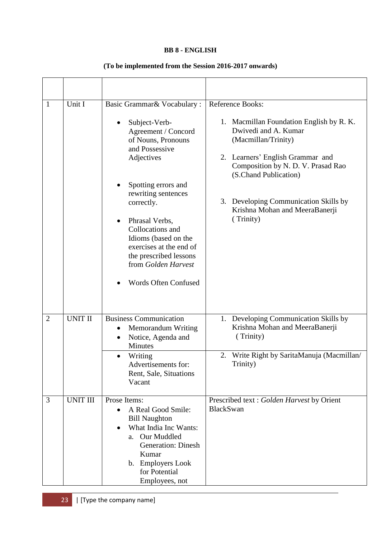## **BB 8 - ENGLISH**

# **(To be implemented from the Session 2016-2017 onwards)**

| $\mathbf{1}$   | Unit I          | Basic Grammar& Vocabulary:                                                                                                                                                                                                    | Reference Books:                                                                                                            |  |
|----------------|-----------------|-------------------------------------------------------------------------------------------------------------------------------------------------------------------------------------------------------------------------------|-----------------------------------------------------------------------------------------------------------------------------|--|
|                |                 | Subject-Verb-<br>Agreement / Concord<br>of Nouns, Pronouns<br>and Possessive<br>Adjectives                                                                                                                                    | 1. Macmillan Foundation English by R. K.<br>Dwivedi and A. Kumar<br>(Macmillan/Trinity)<br>2. Learners' English Grammar and |  |
|                |                 | Spotting errors and                                                                                                                                                                                                           | Composition by N. D. V. Prasad Rao<br>(S.Chand Publication)                                                                 |  |
|                |                 | rewriting sentences<br>correctly.                                                                                                                                                                                             | 3. Developing Communication Skills by                                                                                       |  |
|                |                 | Phrasal Verbs,<br>$\bullet$<br>Collocations and<br>Idioms (based on the<br>exercises at the end of<br>the prescribed lessons<br>from Golden Harvest                                                                           | Krishna Mohan and MeeraBanerji<br>(Trinity)                                                                                 |  |
|                |                 | <b>Words Often Confused</b>                                                                                                                                                                                                   |                                                                                                                             |  |
| $\overline{2}$ | <b>UNIT II</b>  | <b>Business Communication</b><br>Memorandum Writing<br>$\bullet$<br>Notice, Agenda and<br>$\bullet$<br>Minutes                                                                                                                | 1. Developing Communication Skills by<br>Krishna Mohan and MeeraBanerji<br>(Trinity)                                        |  |
|                |                 | Writing<br>Advertisements for:<br>Rent, Sale, Situations<br>Vacant                                                                                                                                                            | 2. Write Right by SaritaManuja (Macmillan/<br>Trinity)                                                                      |  |
| 3              | <b>UNIT III</b> | Prose Items:<br>A Real Good Smile:<br>$\bullet$<br><b>Bill Naughton</b><br>What India Inc Wants:<br>$\bullet$<br>a. Our Muddled<br><b>Generation: Dinesh</b><br>Kumar<br>b. Employers Look<br>for Potential<br>Employees, not | Prescribed text : Golden Harvest by Orient<br><b>BlackSwan</b>                                                              |  |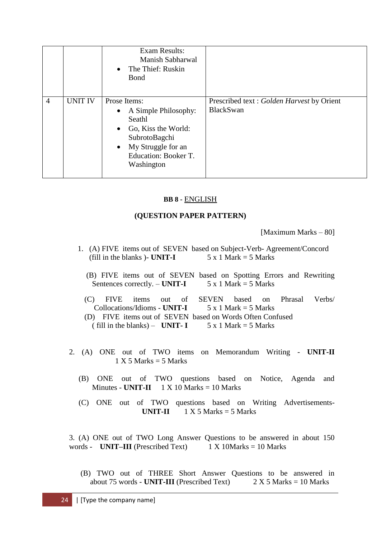|                |                | <b>Exam Results:</b><br>Manish Sabharwal<br>$\bullet$ The Thief: Ruskin<br><b>B</b> ond                                                                  |                                                                |
|----------------|----------------|----------------------------------------------------------------------------------------------------------------------------------------------------------|----------------------------------------------------------------|
| $\overline{4}$ | <b>UNIT IV</b> | Prose Items:<br>• A Simple Philosophy:<br>Seathl<br>• Go, Kiss the World:<br>SubrotoBagchi<br>• My Struggle for an<br>Education: Booker T.<br>Washington | Prescribed text : Golden Harvest by Orient<br><b>BlackSwan</b> |

# **BB 8 -** ENGLISH

# **(QUESTION PAPER PATTERN)**

[Maximum Marks – 80]

- 1. (A) FIVE items out of SEVEN based on Subject-Verb- Agreement/Concord (fill in the blanks) - **UNIT-I**  $5 \times 1$  Mark = 5 Marks
	- (B) FIVE items out of SEVEN based on Spotting Errors and Rewriting Sentences correctly.  $-$  **UNIT-I** 5 x 1 Mark = 5 Marks
	- (C) FIVE items out of SEVEN based on Phrasal Verbs/ Collocations/Idioms - **UNIT-I**  $5 \times 1$  Mark = 5 Marks
	- (D) FIVE items out of SEVEN based on Words Often Confused ( fill in the blanks) – **UNIT-I**  $5 \times 1$  Mark = 5 Marks
- 2. (A) ONE out of TWO items on Memorandum Writing **UNIT-II**  $1 X 5 Marks = 5 Marks$ 
	- (B) ONE out of TWO questions based on Notice, Agenda and Minutes - **UNIT-II** 1 X 10 Marks = 10 Marks
	- (C) ONE out of TWO questions based on Writing Advertisements- **UNIT-II**  $1 \times 5$  Marks  $= 5$  Marks

3. (A) ONE out of TWO Long Answer Questions to be answered in about 150 words - **UNIT–III** (Prescribed Text)  $1 \times 10$  Marks = 10 Marks

 (B) TWO out of THREE Short Answer Questions to be answered in about  $75$  words - **UNIT-III** (Prescribed Text)  $2 \times 5$  Marks = 10 Marks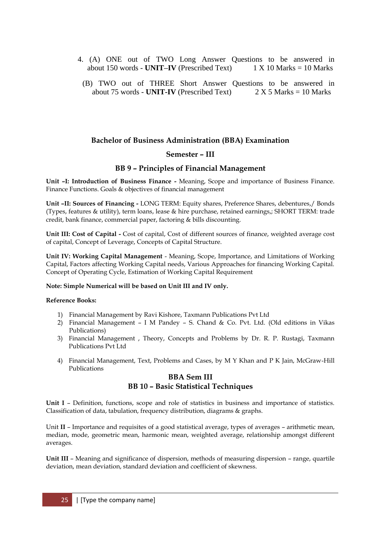- 4. (A) ONE out of TWO Long Answer Questions to be answered in about 150 words UNIT-IV (Prescribed Text) 1 X 10 Marks = 10 Marks about 150 words - **UNIT–IV** (Prescribed Text)
	- (B) TWO out of THREE Short Answer Questions to be answered in about 75 words - **UNIT-IV** (Prescribed Text)  $2 \times 5$  Marks = 10 Marks

# **Bachelor of Business Administration (BBA) Examination**

## **Semester – III**

#### **BB 9 – Principles of Financial Management**

**Unit –I: Introduction of Business Finance -** Meaning, Scope and importance of Business Finance. Finance Functions. Goals & objectives of financial management

**Unit –II: Sources of Financing -** LONG TERM: Equity shares, Preference Shares, debentures,/ Bonds (Types, features & utility), term loans, lease & hire purchase, retained earnings,; SHORT TERM: trade credit, bank finance, commercial paper, factoring & bills discounting.

**Unit III: Cost of Capital -** Cost of capital, Cost of different sources of finance, weighted average cost of capital, Concept of Leverage, Concepts of Capital Structure.

**Unit IV: Working Capital Management** - Meaning, Scope, Importance, and Limitations of Working Capital, Factors affecting Working Capital needs, Various Approaches for financing Working Capital. Concept of Operating Cycle, Estimation of Working Capital Requirement

#### **Note: Simple Numerical will be based on Unit III and IV only.**

#### **Reference Books:**

- 1) Financial Management by Ravi Kishore, Taxmann Publications Pvt Ltd
- 2) Financial Management I M Pandey S. Chand & Co. Pvt. Ltd. (Old editions in Vikas Publications)
- 3) Financial Management , Theory, Concepts and Problems by Dr. R. P. Rustagi, Taxmann Publications Pvt Ltd
- 4) Financial Management, Text, Problems and Cases, by M Y Khan and P K Jain, McGraw-Hill Publications

## **BBA Sem III BB 10 – Basic Statistical Techniques**

**Unit I** – Definition, functions, scope and role of statistics in business and importance of statistics. Classification of data, tabulation, frequency distribution, diagrams & graphs.

Unit **II** – Importance and requisites of a good statistical average, types of averages – arithmetic mean, median, mode, geometric mean, harmonic mean, weighted average, relationship amongst different averages.

**Unit III** – Meaning and significance of dispersion, methods of measuring dispersion – range, quartile deviation, mean deviation, standard deviation and coefficient of skewness.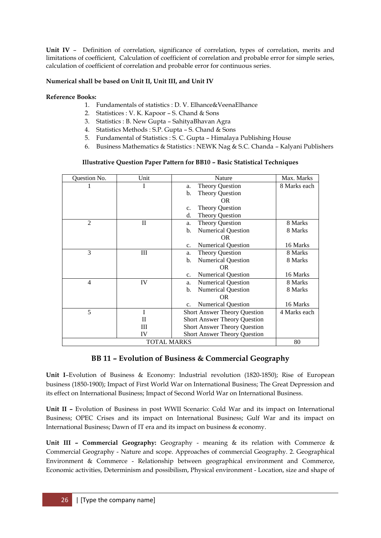**Unit IV** – Definition of correlation, significance of correlation, types of correlation, merits and limitations of coefficient, Calculation of coefficient of correlation and probable error for simple series, calculation of coefficient of correlation and probable error for continuous series.

## **Numerical shall be based on Unit II, Unit III, and Unit IV**

## **Reference Books:**

- 1. Fundamentals of statistics : D. V. Elhance&VeenaElhance
- 2. Statistices : V. K. Kapoor S. Chand & Sons
- 3. Statistics : B. New Gupta SahityaBhavan Agra
- 4. Statistics Methods : S.P. Gupta S. Chand & Sons
- 5. Fundamental of Statistics : S. C. Gupta Himalaya Publishing House
- 6. Business Mathematics & Statistics : NEWK Nag & S.C. Chanda Kalyani Publishers

## **Illustrative Question Paper Pattern for BB10 – Basic Statistical Techniques**

| Question No.       | Unit         | Nature                                      | Max. Marks   |
|--------------------|--------------|---------------------------------------------|--------------|
|                    |              | <b>Theory Question</b><br>a.                | 8 Marks each |
|                    |              | <b>Theory Question</b><br>b.                |              |
|                    |              | OR.                                         |              |
|                    |              | <b>Theory Question</b><br>c.                |              |
|                    |              | <b>Theory Question</b><br>d.                |              |
| 2                  | $\mathbf{I}$ | <b>Theory Question</b><br>a.                | 8 Marks      |
|                    |              | <b>Numerical Question</b><br>b.             | 8 Marks      |
|                    |              | OR.                                         |              |
|                    |              | <b>Numerical Question</b><br>C <sub>1</sub> | 16 Marks     |
| 3                  | Ш            | <b>Theory Question</b><br>a.                | 8 Marks      |
|                    |              | <b>Numerical Question</b><br>b.             | 8 Marks      |
|                    |              | OR.                                         |              |
|                    |              | <b>Numerical Question</b><br>C <sub>1</sub> | 16 Marks     |
| 4                  | IV           | <b>Numerical Question</b><br>a.             | 8 Marks      |
|                    |              | <b>Numerical Question</b><br>b.             | 8 Marks      |
|                    |              | OR.                                         |              |
|                    |              | <b>Numerical Question</b><br>c.             | 16 Marks     |
| 5                  | I            | <b>Short Answer Theory Question</b>         | 4 Marks each |
|                    | П            | <b>Short Answer Theory Question</b>         |              |
|                    | Ш            | <b>Short Answer Theory Question</b>         |              |
|                    | IV           | <b>Short Answer Theory Question</b>         |              |
| <b>TOTAL MARKS</b> |              |                                             | 80           |

# **BB 11 – Evolution of Business & Commercial Geography**

**Unit I**–Evolution of Business & Economy: Industrial revolution (1820-1850); Rise of European business (1850-1900); Impact of First World War on International Business; The Great Depression and its effect on International Business; Impact of Second World War on International Business.

**Unit II –** Evolution of Business in post WWII Scenario: Cold War and its impact on International Business; OPEC Crises and its impact on International Business; Gulf War and its impact on International Business; Dawn of IT era and its impact on business & economy.

**Unit III – Commercial Geography:** Geography - meaning & its relation with Commerce & Commercial Geography - Nature and scope. Approaches of commercial Geography. 2. Geographical Environment & Commerce - Relationship between geographical environment and Commerce, Economic activities, Determinism and possibilism, Physical environment - Location, size and shape of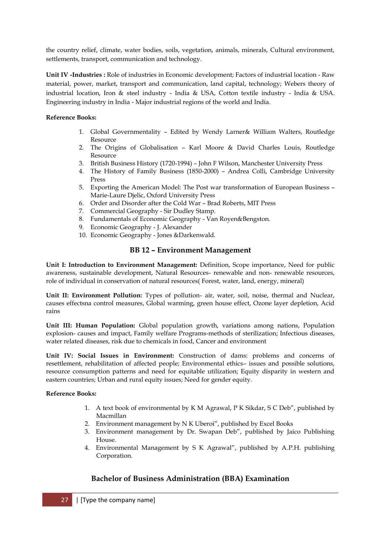the country relief, climate, water bodies, soils, vegetation, animals, minerals, Cultural environment, settlements, transport, communication and technology.

**Unit IV -Industries :** Role of industries in Economic development; Factors of industrial location - Raw material, power, market, transport and communication, land capital, technology; Webers theory of industrial location, Iron & steel industry - India & USA, Cotton textile industry - India & USA. Engineering industry in India - Major industrial regions of the world and India.

## **Reference Books:**

- 1. Global Governmentality Edited by Wendy Larner& William Walters, Routledge Resource
- 2. The Origins of Globalisation Karl Moore & David Charles Louis, Routledge Resource
- 3. British Business History (1720-1994) John F Wilson, Manchester University Press
- 4. The History of Family Business (1850-2000) Andrea Colli, Cambridge University Press
- 5. Exporting the American Model: The Post war transformation of European Business Marie-Laure Djelic, Oxford University Press
- 6. Order and Disorder after the Cold War Brad Roberts, MIT Press
- 7. Commercial Geography Sir Dudley Stamp.
- 8. Fundamentals of Economic Geography Van Royen&Bengston.
- 9. Economic Geography J. Alexander
- 10. Economic Geography Jones &Darkenwald.

## **BB 12 – Environment Management**

**Unit I: Introduction to Environment Management:** Definition, Scope importance, Need for public awareness, sustainable development, Natural Resources- renewable and non- renewable resources, role of individual in conservation of natural resources( Forest, water, land, energy, mineral)

**Unit II: Environment Pollution:** Types of pollution- air, water, soil, noise, thermal and Nuclear, causes effectsna control measures, Global warming, green house effect, Ozone layer depletion, Acid rains

**Unit III: Human Population:** Global population growth, variations among nations, Population explosion- causes and impact, Family welfare Programs-methods of sterilization; Infectious diseases, water related diseases, risk due to chemicals in food, Cancer and environment

**Unit IV: Social Issues in Environment:** Construction of dams: problems and concerns of resettlement, rehabilitation of affected people; Environmental ethics– issues and possible solutions, resource consumption patterns and need for equitable utilization; Equity disparity in western and eastern countries; Urban and rural equity issues; Need for gender equity.

#### **Reference Books:**

- 1. A text book of environmental by K M Agrawal, P K Sikdar, S C Deb", published by Macmillan
- 2. Environment management by N K Uberoi", published by Excel Books
- 3. Environment management by Dr. Swapan Deb", published by Jaico Publishing House.
- 4. Environmental Management by S K Agrawal", published by A.P.H. publishing Corporation.

# **Bachelor of Business Administration (BBA) Examination**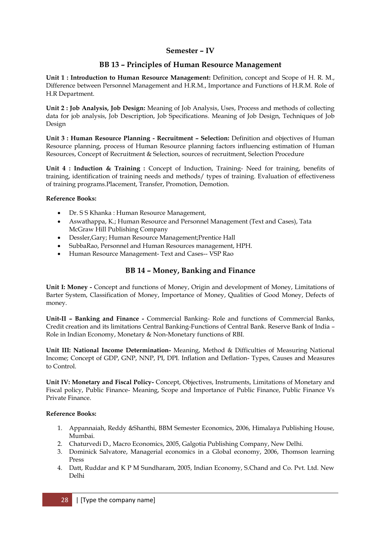# **Semester – IV**

# **BB 13 – Principles of Human Resource Management**

**Unit 1 : Introduction to Human Resource Management:** Definition, concept and Scope of H. R. M., Difference between Personnel Management and H.R.M., Importance and Functions of H.R.M. Role of H.R Department.

**Unit 2 : Job Analysis, Job Design:** Meaning of Job Analysis, Uses, Process and methods of collecting data for job analysis, Job Description, Job Specifications. Meaning of Job Design, Techniques of Job Design

**Unit 3 : Human Resource Planning - Recruitment – Selection:** Definition and objectives of Human Resource planning, process of Human Resource planning factors influencing estimation of Human Resources, Concept of Recruitment & Selection, sources of recruitment, Selection Procedure

**Unit 4 : Induction & Training :** Concept of Induction, Training- Need for training, benefits of training, identification of training needs and methods/ types of training. Evaluation of effectiveness of training programs.Placement, Transfer, Promotion, Demotion.

#### **Reference Books:**

- Dr. S S Khanka : Human Resource Management,
- Aswathappa, K.; Human Resource and Personnel Management (Text and Cases), Tata McGraw Hill Publishing Company
- Dessler,Gary; Human Resource Management;Prentice Hall
- SubbaRao, Personnel and Human Resources management, HPH.
- Human Resource Management- Text and Cases-- VSP Rao

# **BB 14 – Money, Banking and Finance**

**Unit I: Money -** Concept and functions of Money, Origin and development of Money, Limitations of Barter System, Classification of Money, Importance of Money, Qualities of Good Money, Defects of money.

**Unit-II – Banking and Finance -** Commercial Banking- Role and functions of Commercial Banks, Credit creation and its limitations Central Banking-Functions of Central Bank. Reserve Bank of India – Role in Indian Economy, Monetary & Non-Monetary functions of RBI.

**Unit III: National Income Determination-** Meaning, Method & Difficulties of Measuring National Income; Concept of GDP, GNP, NNP, PI, DPI. Inflation and Deflation- Types, Causes and Measures to Control.

**Unit IV: Monetary and Fiscal Policy-** Concept, Objectives, Instruments, Limitations of Monetary and Fiscal policy, Public Finance- Meaning, Scope and Importance of Public Finance, Public Finance Vs Private Finance.

## **Reference Books:**

- 1. Appannaiah, Reddy &Shanthi, BBM Semester Economics, 2006, Himalaya Publishing House, Mumbai.
- 2. Chaturvedi D., Macro Economics, 2005, Galgotia Publishing Company, New Delhi.
- 3. Dominick Salvatore, Managerial economics in a Global economy, 2006, Thomson learning Press
- 4. Datt, Ruddar and K P M Sundharam, 2005, Indian Economy, S.Chand and Co. Pvt. Ltd. New Delhi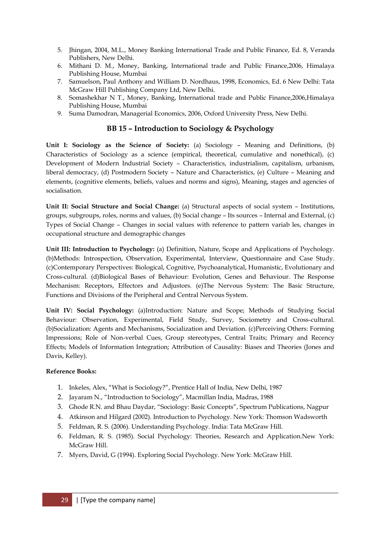- 5. Jhingan, 2004, M.L., Money Banking International Trade and Public Finance, Ed. 8, Veranda Publishers, New Delhi.
- 6. Mithani D. M., Money, Banking, International trade and Public Finance,2006, Himalaya Publishing House, Mumbai
- 7. Samuelson, Paul Anthony and William D. Nordhaus, 1998, Economics, Ed. 6 New Delhi: Tata McGraw Hill Publishing Company Ltd, New Delhi.
- 8. Somashekhar N T., Money, Banking, International trade and Public Finance,2006,Himalaya Publishing House, Mumbai
- 9. Suma Damodran, Managerial Economics, 2006, Oxford University Press, New Delhi.

# **BB 15 – Introduction to Sociology & Psychology**

**Unit I: Sociology as the Science of Society:** (a) Sociology – Meaning and Definitions, (b) Characteristics of Sociology as a science (empirical, theoretical, cumulative and nonethical), (c) Development of Modern Industrial Society – Characteristics, industrialism, capitalism, urbanism, liberal democracy, (d) Postmodern Society – Nature and Characteristics, (e) Culture – Meaning and elements, (cognitive elements, beliefs, values and norms and signs), Meaning, stages and agencies of socialisation.

**Unit II: Social Structure and Social Change:** (a) Structural aspects of social system – Institutions, groups, subgroups, roles, norms and values, (b) Social change – Its sources – Internal and External, (c) Types of Social Change – Changes in social values with reference to pattern variab les, changes in occupational structure and demographic changes

**Unit III: Introduction to Psychology:** (a) Definition, Nature, Scope and Applications of Psychology. (b)Methods: Introspection, Observation, Experimental, Interview, Questionnaire and Case Study. (c)Contemporary Perspectives: Biological, Cognitive, Psychoanalytical, Humanistic, Evolutionary and Cross-cultural. (d)Biological Bases of Behaviour: Evolution, Genes and Behaviour. The Response Mechanism: Receptors, Effectors and Adjustors. (e)The Nervous System: The Basic Structure, Functions and Divisions of the Peripheral and Central Nervous System.

**Unit IV: Social Psychology:** (a)Introduction: Nature and Scope; Methods of Studying Social Behaviour: Observation, Experimental, Field Study, Survey, Sociometry and Cross-cultural. (b)Socialization: Agents and Mechanisms, Socialization and Deviation. (c)Perceiving Others: Forming Impressions; Role of Non-verbal Cues, Group stereotypes, Central Traits; Primary and Recency Effects; Models of Information Integration; Attribution of Causality: Biases and Theories (Jones and Davis, Kelley).

#### **Reference Books:**

- 1. Inkeles, Alex, "What is Sociology?", Prentice Hall of India, New Delhi, 1987
- 2. Jayaram N., "Introduction to Sociology", Macmillan India, Madras, 1988
- 3. Ghode R.N. and Bhau Daydar, "Sociology: Basic Concepts", Spectrum Publications, Nagpur
- 4. Atkinson and Hilgard (2002). Introduction to Psychology. New York: Thomson Wadsworth
- 5. Feldman, R. S. (2006). Understanding Psychology. India: Tata McGraw Hill.
- 6. Feldman, R. S. (1985). Social Psychology: Theories, Research and Application.New York: McGraw Hill.
- 7. Myers, David, G (1994). Exploring Social Psychology. New York: McGraw Hill.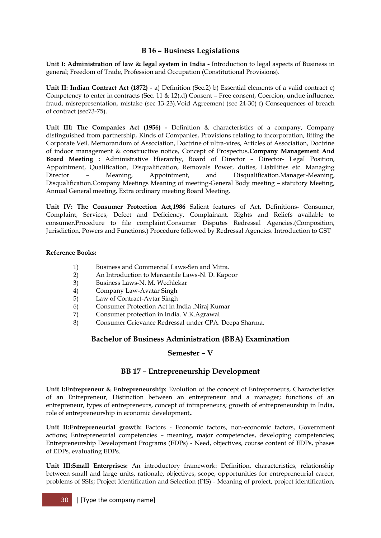# **B 16 – Business Legislations**

**Unit I: Administration of law & legal system in India -** Introduction to legal aspects of Business in general; Freedom of Trade, Profession and Occupation (Constitutional Provisions).

**Unit II: Indian Contract Act (1872)** - a) Definition (Sec.2) b) Essential elements of a valid contract c) Competency to enter in contracts (Sec. 11 & 12).d) Consent – Free consent, Coercion, undue influence, fraud, misrepresentation, mistake (sec 13-23).Void Agreement (sec 24-30) f) Consequences of breach of contract (sec73-75).

**Unit III: The Companies Act (1956) -** Definition & characteristics of a company, Company distinguished from partnership, Kinds of Companies, Provisions relating to incorporation, lifting the Corporate Veil. Memorandum of Association, Doctrine of ultra-vires, Articles of Association, Doctrine of indoor management & constructive notice, Concept of Prospectus.**Company Management And Board Meeting :** Administrative Hierarchy, Board of Director – Director- Legal Position, Appointment, Qualification, Disqualification, Removals Power, duties, Liabilities etc. Managing Director – Meaning, Appointment, and Disqualification.Manager-Meaning, Disqualification.Company Meetings Meaning of meeting-General Body meeting – statutory Meeting, Annual General meeting, Extra ordinary meeting Board Meeting.

**Unit IV: The Consumer Protection Act,1986** Salient features of Act. Definitions- Consumer, Complaint, Services, Defect and Deficiency, Complainant. Rights and Reliefs available to consumer.Procedure to file complaint.Consumer Disputes Redressal Agencies.(Composition, Jurisdiction, Powers and Functions.) Procedure followed by Redressal Agencies. Introduction to GST

#### **Reference Books:**

- 1) Business and Commercial Laws-Sen and Mitra.
- 2) An Introduction to Mercantile Laws-N. D. Kapoor
- 3) Business Laws-N. M. Wechlekar
- 4) Company Law-Avatar Singh
- 5) Law of Contract-Avtar Singh
- 6) Consumer Protection Act in India .Niraj Kumar
- 7) Consumer protection in India. V.K.Agrawal
- 8) Consumer Grievance Redressal under CPA. Deepa Sharma.

# **Bachelor of Business Administration (BBA) Examination**

## **Semester – V**

# **BB 17 – Entrepreneurship Development**

**Unit I:Entrepreneur & Entrepreneurship:** Evolution of the concept of Entrepreneurs, Characteristics of an Entrepreneur, Distinction between an entrepreneur and a manager; functions of an entrepreneur, types of entrepreneurs, concept of intrapreneurs; growth of entrepreneurship in India, role of entrepreneurship in economic development,.

**Unit II:Entrepreneurial growth:** Factors - Economic factors, non-economic factors, Government actions; Entrepreneurial competencies – meaning, major competencies, developing competencies; Entrepreneurship Development Programs (EDPs) - Need, objectives, course content of EDPs, phases of EDPs, evaluating EDPs.

**Unit III:Small Enterprises:** An introductory framework: Definition, characteristics, relationship between small and large units, rationale, objectives, scope, opportunities for entrepreneurial career, problems of SSIs; Project Identification and Selection (PIS) - Meaning of project, project identification,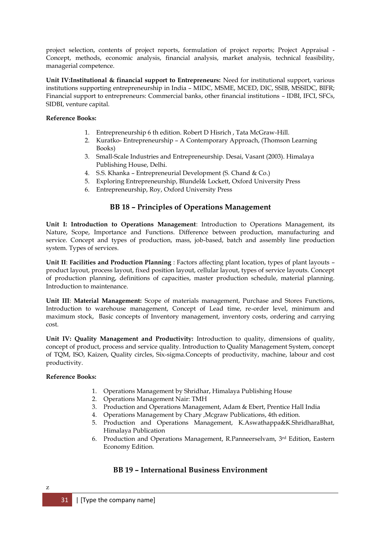project selection, contents of project reports, formulation of project reports; Project Appraisal - Concept, methods, economic analysis, financial analysis, market analysis, technical feasibility, managerial competence.

**Unit IV:Institutional & financial support to Entrepreneurs:** Need for institutional support, various institutions supporting entrepreneurship in India – MIDC, MSME, MCED, DIC, SSIB, MSSIDC, BIFR; Financial support to entrepreneurs: Commercial banks, other financial institutions – IDBI, IFCI, SFCs, SIDBI, venture capital.

#### **Reference Books:**

- 1. Entrepreneurship 6 th edition. Robert D Hisrich , Tata McGraw-Hill.
- 2. Kuratko- Entrepreneurship A Contemporary Approach, (Thomson Learning Books)
- 3. Small-Scale Industries and Entrepreneurship. Desai, Vasant (2003). Himalaya Publishing House, Delhi.
- 4. S.S. Khanka Entrepreneurial Development (S. Chand & Co.)
- 5. Exploring Entrepreneurship, Blundel& Lockett, Oxford University Press
- 6. Entrepreneurship, Roy, Oxford University Press

# **BB 18 – Principles of Operations Management**

**Unit I: Introduction to Operations Management**: Introduction to Operations Management, its Nature, Scope, Importance and Functions. Difference between production, manufacturing and service. Concept and types of production, mass, job-based, batch and assembly line production system. Types of services.

**Unit II**: **Facilities and Production Planning** : Factors affecting plant location, types of plant layouts – product layout, process layout, fixed position layout, cellular layout, types of service layouts. Concept of production planning, definitions of capacities, master production schedule, material planning. Introduction to maintenance.

**Unit III**: **Material Management:** Scope of materials management, Purchase and Stores Functions, Introduction to warehouse management, Concept of Lead time, re-order level, minimum and maximum stock, Basic concepts of Inventory management, inventory costs, ordering and carrying cost.

**Unit IV: Quality Management and Productivity:** Introduction to quality, dimensions of quality, concept of product, process and service quality. Introduction to Quality Management System, concept of TQM, ISO, Kaizen, Quality circles, Six-sigma.Concepts of productivity, machine, labour and cost productivity.

#### **Reference Books:**

- 1. Operations Management by Shridhar, Himalaya Publishing House
- 2. Operations Management Nair: TMH
- 3. Production and Operations Management, Adam & Ebert, Prentice Hall India
- 4. Operations Management by Chary ,Mcgraw Publications, 4th edition.
- 5. Production and Operations Management, K.Aswathappa&K.ShridharaBhat, Himalaya Publication
- 6. Production and Operations Management, R.Panneerselvam, 3 rd Edition, Eastern Economy Edition.

# **BB 19 – International Business Environment**

z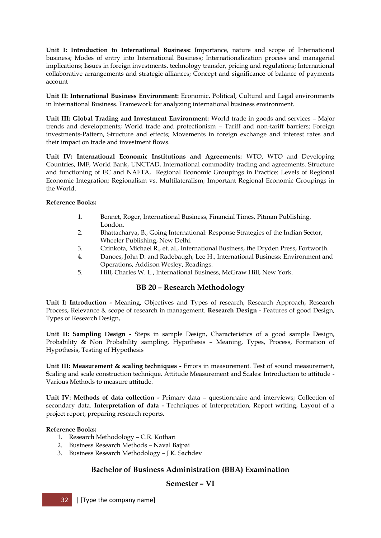**Unit I: Introduction to International Business:** Importance, nature and scope of International business; Modes of entry into International Business; Internationalization process and managerial implications; Issues in foreign investments, technology transfer, pricing and regulations; International collaborative arrangements and strategic alliances; Concept and significance of balance of payments account

**Unit II: International Business Environment:** Economic, Political, Cultural and Legal environments in International Business. Framework for analyzing international business environment.

**Unit III: Global Trading and Investment Environment:** World trade in goods and services – Major trends and developments; World trade and protectionism – Tariff and non-tariff barriers; Foreign investments-Pattern, Structure and effects; Movements in foreign exchange and interest rates and their impact on trade and investment flows.

**Unit IV: International Economic Institutions and Agreements:** WTO, WTO and Developing Countries, IMF, World Bank, UNCTAD, International commodity trading and agreements. Structure and functioning of EC and NAFTA, Regional Economic Groupings in Practice: Levels of Regional Economic Integration; Regionalism vs. Multilateralism; Important Regional Economic Groupings in the World.

#### **Reference Books:**

- 1. Bennet, Roger, International Business, Financial Times, Pitman Publishing, London.
- 2. Bhattacharya, B., Going International: Response Strategies of the Indian Sector, Wheeler Publishing, New Delhi.
- 3. Czinkota, Michael R., et. al., International Business, the Dryden Press, Fortworth.
- 4. Danoes, John D. and Radebaugh, Lee H., International Business: Environment and Operations, Addison Wesley, Readings.
- 5. Hill, Charles W. L., International Business, McGraw Hill, New York.

# **BB 20 – Research Methodology**

**Unit I: Introduction -** Meaning, Objectives and Types of research, Research Approach, Research Process, Relevance & scope of research in management. **Research Design -** Features of good Design, Types of Research Design,

**Unit II: Sampling Design -** Steps in sample Design, Characteristics of a good sample Design, Probability & Non Probability sampling. Hypothesis – Meaning, Types, Process, Formation of Hypothesis, Testing of Hypothesis

**Unit III: Measurement & scaling techniques -** Errors in measurement. Test of sound measurement, Scaling and scale construction technique. Attitude Measurement and Scales: Introduction to attitude - Various Methods to measure attitude.

**Unit IV: Methods of data collection -** Primary data – questionnaire and interviews; Collection of secondary data. **Interpretation of data -** Techniques of Interpretation, Report writing, Layout of a project report, preparing research reports.

## **Reference Books:**

- 1. Research Methodology C.R. Kothari
- 2. Business Research Methods Naval Bajpai
- 3. Business Research Methodology J K. Sachdev

# **Bachelor of Business Administration (BBA) Examination**

# **Semester – VI**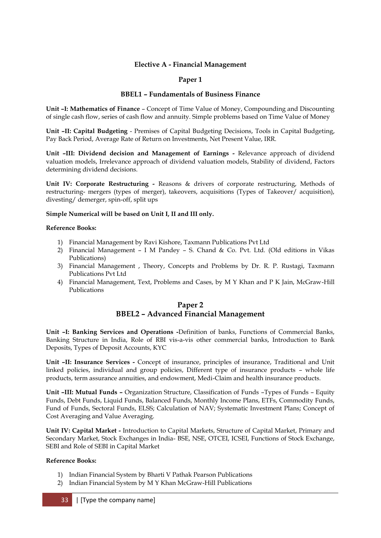## **Elective A - Financial Management**

## **Paper 1**

#### **BBEL1 – Fundamentals of Business Finance**

**Unit –I: Mathematics of Finance** – Concept of Time Value of Money, Compounding and Discounting of single cash flow, series of cash flow and annuity. Simple problems based on Time Value of Money

**Unit –II: Capital Budgeting** - Premises of Capital Budgeting Decisions, Tools in Capital Budgeting, Pay Back Period, Average Rate of Return on Investments, Net Present Value, IRR.

**Unit –III: Dividend decision and Management of Earnings -** Relevance approach of dividend valuation models, Irrelevance approach of dividend valuation models, Stability of dividend, Factors determining dividend decisions.

**Unit IV: Corporate Restructuring -** Reasons & drivers of corporate restructuring, Methods of restructuring- mergers (types of merger), takeovers, acquisitions (Types of Takeover/ acquisition), divesting/ demerger, spin-off, split ups

#### **Simple Numerical will be based on Unit I, II and III only.**

#### **Reference Books:**

- 1) Financial Management by Ravi Kishore, Taxmann Publications Pvt Ltd
- 2) Financial Management I M Pandey S. Chand & Co. Pvt. Ltd. (Old editions in Vikas Publications)
- 3) Financial Management , Theory, Concepts and Problems by Dr. R. P. Rustagi, Taxmann Publications Pvt Ltd
- 4) Financial Management, Text, Problems and Cases, by M Y Khan and P K Jain, McGraw-Hill Publications

# **Paper 2 BBEL2 – Advanced Financial Management**

**Unit –I: Banking Services and Operations -**Definition of banks, Functions of Commercial Banks, Banking Structure in India, Role of RBI vis-a-vis other commercial banks, Introduction to Bank Deposits, Types of Deposit Accounts, KYC

**Unit –II: Insurance Services -** Concept of insurance, principles of insurance, Traditional and Unit linked policies, individual and group policies, Different type of insurance products – whole life products, term assurance annuities, and endowment, Medi-Claim and health insurance products.

**Unit –III: Mutual Funds –** Organization Structure, Classification of Funds –Types of Funds – Equity Funds, Debt Funds, Liquid Funds, Balanced Funds, Monthly Income Plans, ETFs, Commodity Funds, Fund of Funds, Sectoral Funds, ELSS; Calculation of NAV; Systematic Investment Plans; Concept of Cost Averaging and Value Averaging.

**Unit IV: Capital Market -** Introduction to Capital Markets, Structure of Capital Market, Primary and Secondary Market, Stock Exchanges in India- BSE, NSE, OTCEI, ICSEI, Functions of Stock Exchange, SEBI and Role of SEBI in Capital Market

#### **Reference Books:**

- 1) Indian Financial System by Bharti V Pathak Pearson Publications
- 2) Indian Financial System by M Y Khan McGraw-Hill Publications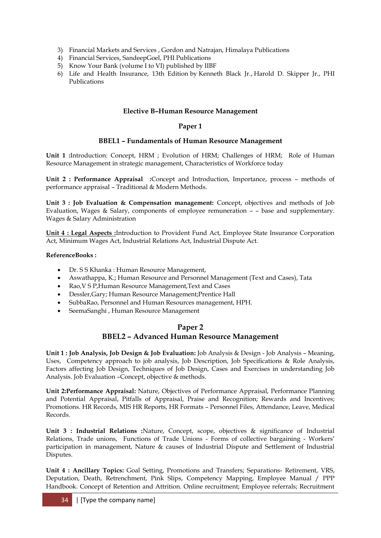- 3) Financial Markets and Services , Gordon and Natrajan, Himalaya Publications
- 4) Financial Services, SandeepGoel, PHI Publications
- 5) Know Your Bank (volume I to VI) published by IIBF
- 6) Life and Health Insurance, 13th Edition by [Kenneth Black Jr.,](http://www.amazon.com/s/ref=dp_byline_sr_book_1?ie=UTF8&text=Kenneth+Black+Jr.&search-alias=books&field-author=Kenneth+Black+Jr.&sort=relevancerank) [Harold D. Skipper Jr.,](http://www.amazon.com/s/ref=dp_byline_sr_book_2?ie=UTF8&text=Harold+D.+Skipper+Jr.&search-alias=books&field-author=Harold+D.+Skipper+Jr.&sort=relevancerank) PHI Publications

## **Elective B–Human Resource Management**

## **Paper 1**

## **BBEL1 – Fundamentals of Human Resource Management**

**Unit 1 :**Introduction: Concept, HRM ; Evolution of HRM; Challenges of HRM; Role of Human Resource Management in strategic management, Characteristics of Workforce today

**Unit 2 : Performance Appraisal :**Concept and Introduction, Importance, process – methods of performance appraisal – Traditional & Modern Methods.

**Unit 3 : Job Evaluation & Compensation management:** Concept, objectives and methods of Job Evaluation, Wages & Salary, components of employee remuneration – – base and supplementary. Wages & Salary Administration

**Unit 4 : Legal Aspects :**Introduction to Provident Fund Act, Employee State Insurance Corporation Act, Minimum Wages Act, Industrial Relations Act, Industrial Dispute Act.

#### **ReferenceBooks :**

- Dr. S S Khanka : Human Resource Management,
- Aswathappa, K.; Human Resource and Personnel Management (Text and Cases), Tata
- Rao,V S P,Human Resource Management,Text and Cases
- Dessler,Gary; Human Resource Management;Prentice Hall
- SubbaRao, Personnel and Human Resources management, HPH.
- SeemaSanghi , Human Resource Management

# **Paper 2 BBEL2 – Advanced Human Resource Management**

**Unit 1 : Job Analysis, Job Design & Job Evaluation:** Job Analysis & Design - Job Analysis – Meaning, Uses, Competency approach to job analysis, Job Description, Job Specifications & Role Analysis, Factors affecting Job Design, Techniques of Job Design, Cases and Exercises in understanding Job Analysis. Job Evaluation –Concept, objective & methods.

**Unit 2:Performance Appraisal:** Nature, Objectives of Performance Appraisal, Performance Planning and Potential Appraisal, Pitfalls of Appraisal, Praise and Recognition; Rewards and Incentives; Promotions. HR Records, MIS HR Reports, HR Formats – Personnel Files, Attendance, Leave, Medical Records.

**Unit 3 : Industrial Relations :**Nature, Concept, scope, objectives & significance of Industrial Relations, Trade unions, Functions of Trade Unions - Forms of collective bargaining - Workers" participation in management, Nature & causes of Industrial Dispute and Settlement of Industrial Disputes.

**Unit 4 : Ancillary Topics:** Goal Setting, Promotions and Transfers; Separations- Retirement, VRS, Deputation, Death, Retrenchment, Pink Slips, Competency Mapping, Employee Manual / PPP Handbook. Concept of Retention and Attrition. Online recruitment; Employee referrals; Recruitment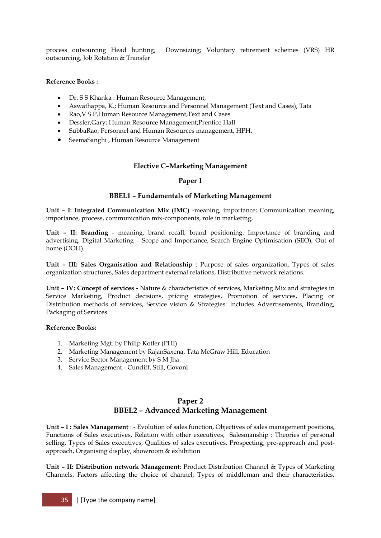process outsourcing Head hunting; Downsizing; Voluntary retirement schemes (VRS) HR outsourcing, Job Rotation & Transfer

## **Reference Books :**

- Dr. S S Khanka : Human Resource Management,
- Aswathappa, K.; Human Resource and Personnel Management (Text and Cases), Tata
- Rao,V S P,Human Resource Management,Text and Cases
- Dessler,Gary; Human Resource Management;Prentice Hall
- SubbaRao, Personnel and Human Resources management, HPH.
- SeemaSanghi , Human Resource Management

# **Elective C–Marketing Management**

## **Paper 1**

## **BBEL1 – Fundamentals of Marketing Management**

**Unit – I: Integrated Communication Mix (IMC)** -meaning, importance; Communication meaning, importance, process, communication mix-components, role in marketing,

**Unit – II: Branding** - meaning, brand recall, brand positioning. Importance of branding and advertising. Digital Marketing – Scope and Importance, Search Engine Optimisation (SEO), Out of home (OOH).

**Unit – III: Sales Organisation and Relationship** : Purpose of sales organization, Types of sales organization structures, Sales department external relations, Distributive network relations.

**Unit – IV: Concept of services -** Nature & characteristics of services, Marketing Mix and strategies in Service Marketing, Product decisions, pricing strategies, Promotion of services, Placing or Distribution methods of services, Service vision & Strategies: Includes Advertisements, Branding, Packaging of Services.

#### **Reference Books:**

- 1. Marketing Mgt. by Philip Kotler (PHI)
- 2. Marketing Management by RajanSaxena, Tata McGraw Hill, Education
- 3. Service Sector Management by S M Jha
- 4. Sales Management Cundiff, Still, Govoni

# **Paper 2 BBEL2 – Advanced Marketing Management**

**Unit – I : Sales Management** : - Evolution of sales function, Objectives of sales management positions, Functions of Sales executives, Relation with other executives, Salesmanship : Theories of personal selling, Types of Sales executives, Qualities of sales executives, Prospecting, pre-approach and postapproach, Organising display, showroom & exhibition

**Unit – II: Distribution network Management**: Product Distribution Channel & Types of Marketing Channels, Factors affecting the choice of channel, Types of middleman and their characteristics,